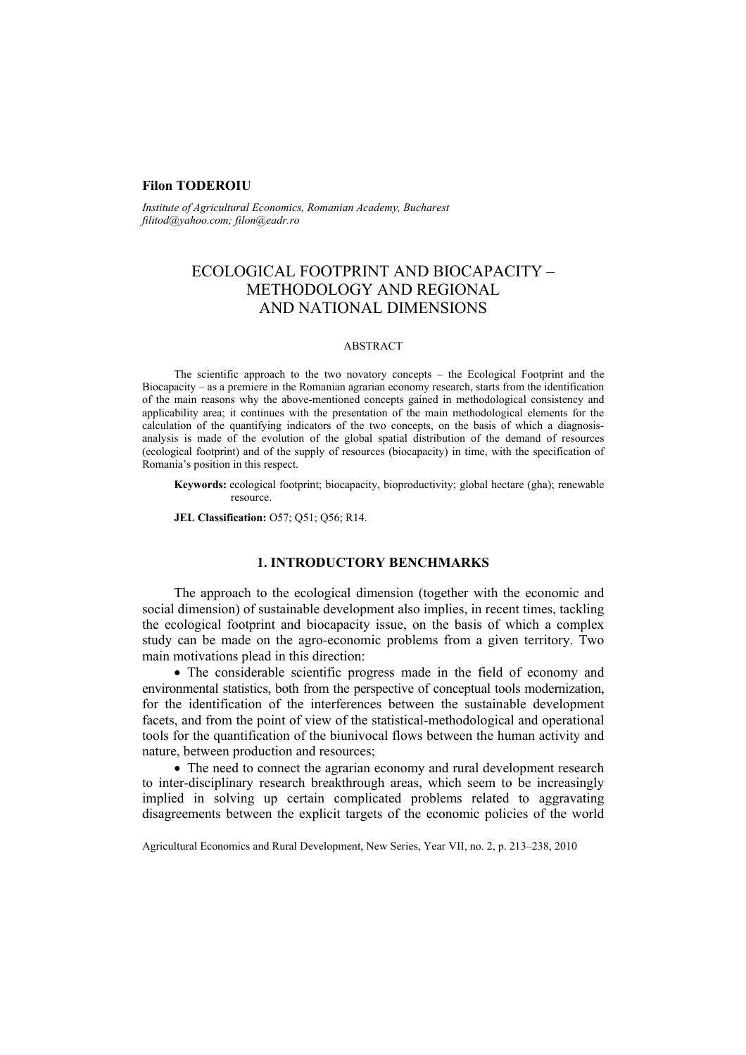## **Filon TODEROIU**

*Institute of Agricultural Economics, Romanian Academy, Bucharest filitod@yahoo.com; filon@eadr.ro* 

# ECOLOGICAL FOOTPRINT AND BIOCAPACITY – METHODOLOGY AND REGIONAL AND NATIONAL DIMENSIONS

#### ABSTRACT

The scientific approach to the two novatory concepts – the Ecological Footprint and the Biocapacity – as a premiere in the Romanian agrarian economy research, starts from the identification of the main reasons why the above-mentioned concepts gained in methodological consistency and applicability area; it continues with the presentation of the main methodological elements for the calculation of the quantifying indicators of the two concepts, on the basis of which a diagnosisanalysis is made of the evolution of the global spatial distribution of the demand of resources (ecological footprint) and of the supply of resources (biocapacity) in time, with the specification of Romania's position in this respect.

**Keywords:** ecological footprint; biocapacity, bioproductivity; global hectare (gha); renewable resource.

**JEL Classification:** O57; Q51; Q56; R14.

## **1. INTRODUCTORY BENCHMARKS**

The approach to the ecological dimension (together with the economic and social dimension) of sustainable development also implies, in recent times, tackling the ecological footprint and biocapacity issue, on the basis of which a complex study can be made on the agro-economic problems from a given territory. Two main motivations plead in this direction:

• The considerable scientific progress made in the field of economy and environmental statistics, both from the perspective of conceptual tools modernization, for the identification of the interferences between the sustainable development facets, and from the point of view of the statistical-methodological and operational tools for the quantification of the biunivocal flows between the human activity and nature, between production and resources;

• The need to connect the agrarian economy and rural development research to inter-disciplinary research breakthrough areas, which seem to be increasingly implied in solving up certain complicated problems related to aggravating disagreements between the explicit targets of the economic policies of the world

Agricultural Economics and Rural Development, New Series, Year VII, no. 2, p. 213–238, 2010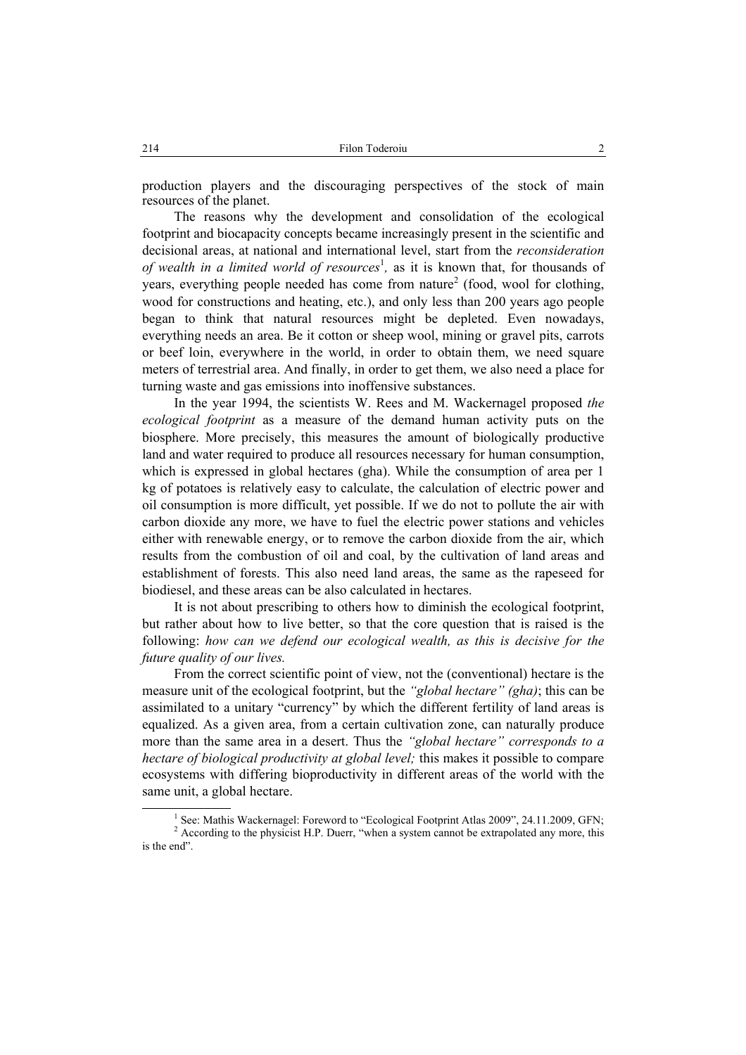production players and the discouraging perspectives of the stock of main resources of the planet.

The reasons why the development and consolidation of the ecological footprint and biocapacity concepts became increasingly present in the scientific and decisional areas, at national and international level, start from the *reconsideration*  of wealth in a limited world of resources<sup>1</sup>, as it is known that, for thousands of years, everything people needed has come from nature<sup>2</sup> (food, wool for clothing, wood for constructions and heating, etc.), and only less than 200 years ago people began to think that natural resources might be depleted. Even nowadays, everything needs an area. Be it cotton or sheep wool, mining or gravel pits, carrots or beef loin, everywhere in the world, in order to obtain them, we need square meters of terrestrial area. And finally, in order to get them, we also need a place for turning waste and gas emissions into inoffensive substances.

In the year 1994, the scientists W. Rees and M. Wackernagel proposed *the ecological footprint* as a measure of the demand human activity puts on the biosphere. More precisely, this measures the amount of biologically productive land and water required to produce all resources necessary for human consumption, which is expressed in global hectares (gha). While the consumption of area per 1 kg of potatoes is relatively easy to calculate, the calculation of electric power and oil consumption is more difficult, yet possible. If we do not to pollute the air with carbon dioxide any more, we have to fuel the electric power stations and vehicles either with renewable energy, or to remove the carbon dioxide from the air, which results from the combustion of oil and coal, by the cultivation of land areas and establishment of forests. This also need land areas, the same as the rapeseed for biodiesel, and these areas can be also calculated in hectares.

It is not about prescribing to others how to diminish the ecological footprint, but rather about how to live better, so that the core question that is raised is the following: *how can we defend our ecological wealth, as this is decisive for the future quality of our lives.* 

From the correct scientific point of view, not the (conventional) hectare is the measure unit of the ecological footprint, but the *"global hectare" (gha)*; this can be assimilated to a unitary "currency" by which the different fertility of land areas is equalized. As a given area, from a certain cultivation zone, can naturally produce more than the same area in a desert. Thus the *"global hectare" corresponds to a hectare of biological productivity at global level;* this makes it possible to compare ecosystems with differing bioproductivity in different areas of the world with the same unit, a global hectare.

 $\overline{\phantom{a}}$ <sup>1</sup> See: Mathis Wackernagel: Foreword to "Ecological Footprint Atlas 2009", 24.11.2009, GFN; <sup>2</sup> According to the physicist H.P. Duerr, "when a system cannot be extrapolated any more, this is the end".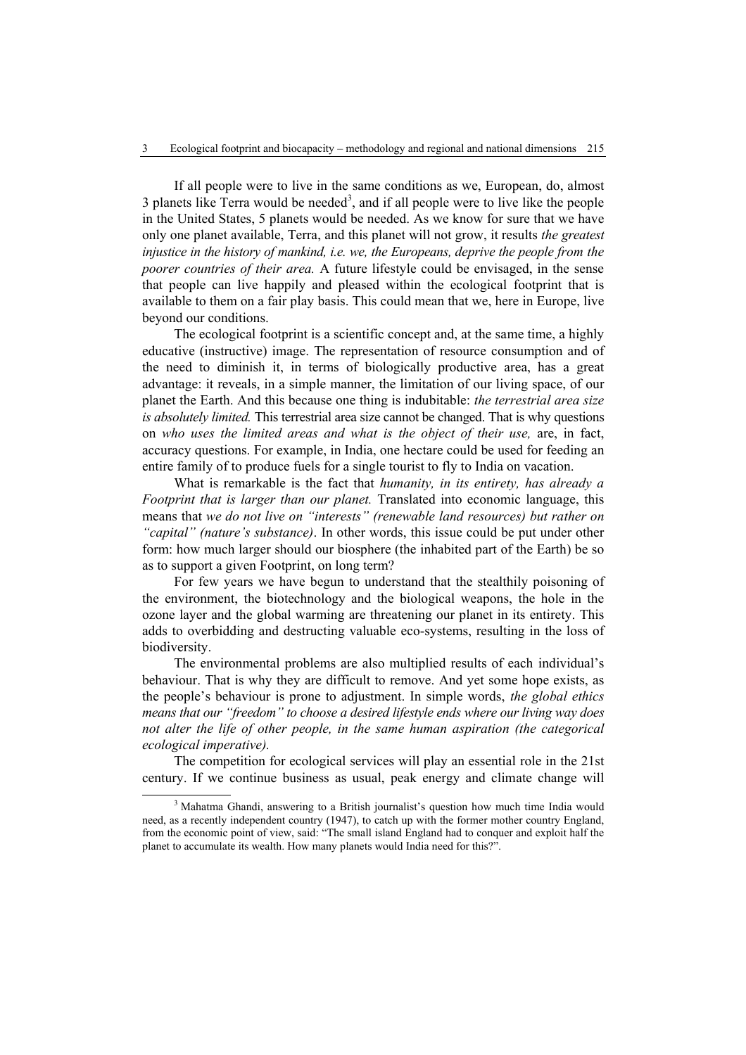If all people were to live in the same conditions as we, European, do, almost 3 planets like Terra would be needed<sup>3</sup>, and if all people were to live like the people in the United States, 5 planets would be needed. As we know for sure that we have only one planet available, Terra, and this planet will not grow, it results *the greatest injustice in the history of mankind, i.e. we, the Europeans, deprive the people from the poorer countries of their area.* A future lifestyle could be envisaged, in the sense that people can live happily and pleased within the ecological footprint that is available to them on a fair play basis. This could mean that we, here in Europe, live beyond our conditions.

The ecological footprint is a scientific concept and, at the same time, a highly educative (instructive) image. The representation of resource consumption and of the need to diminish it, in terms of biologically productive area, has a great advantage: it reveals, in a simple manner, the limitation of our living space, of our planet the Earth. And this because one thing is indubitable: *the terrestrial area size is absolutely limited.* This terrestrial area size cannot be changed. That is why questions on *who uses the limited areas and what is the object of their use,* are, in fact, accuracy questions. For example, in India, one hectare could be used for feeding an entire family of to produce fuels for a single tourist to fly to India on vacation.

What is remarkable is the fact that *humanity, in its entirety, has already a Footprint that is larger than our planet.* Translated into economic language, this means that *we do not live on "interests" (renewable land resources) but rather on "capital" (nature's substance)*. In other words, this issue could be put under other form: how much larger should our biosphere (the inhabited part of the Earth) be so as to support a given Footprint, on long term?

For few years we have begun to understand that the stealthily poisoning of the environment, the biotechnology and the biological weapons, the hole in the ozone layer and the global warming are threatening our planet in its entirety. This adds to overbidding and destructing valuable eco-systems, resulting in the loss of biodiversity.

The environmental problems are also multiplied results of each individual's behaviour. That is why they are difficult to remove. And yet some hope exists, as the people's behaviour is prone to adjustment. In simple words, *the global ethics means that our "freedom" to choose a desired lifestyle ends where our living way does not alter the life of other people, in the same human aspiration (the categorical ecological imperative).*

The competition for ecological services will play an essential role in the 21st century. If we continue business as usual, peak energy and climate change will

 $\overline{\phantom{a}}$ <sup>3</sup> Mahatma Ghandi, answering to a British journalist's question how much time India would need, as a recently independent country (1947), to catch up with the former mother country England, from the economic point of view, said: "The small island England had to conquer and exploit half the planet to accumulate its wealth. How many planets would India need for this?".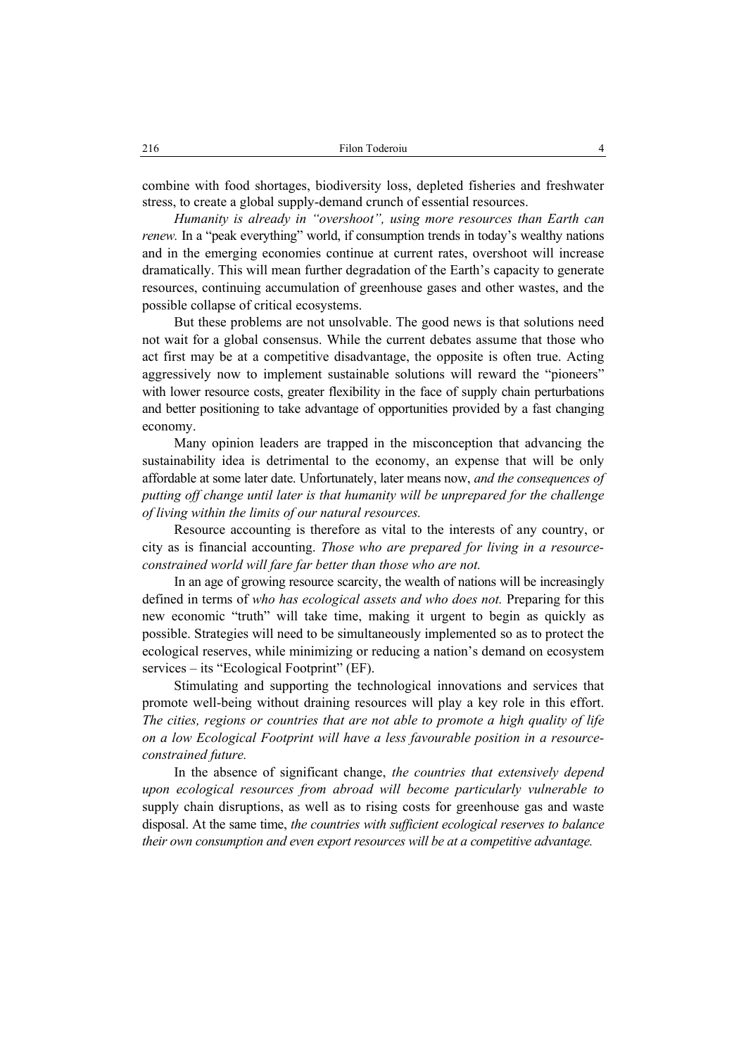combine with food shortages, biodiversity loss, depleted fisheries and freshwater stress, to create a global supply-demand crunch of essential resources.

*Humanity is already in "overshoot", using more resources than Earth can renew.* In a "peak everything" world, if consumption trends in today's wealthy nations and in the emerging economies continue at current rates, overshoot will increase dramatically. This will mean further degradation of the Earth's capacity to generate resources, continuing accumulation of greenhouse gases and other wastes, and the possible collapse of critical ecosystems.

But these problems are not unsolvable. The good news is that solutions need not wait for a global consensus. While the current debates assume that those who act first may be at a competitive disadvantage, the opposite is often true. Acting aggressively now to implement sustainable solutions will reward the "pioneers" with lower resource costs, greater flexibility in the face of supply chain perturbations and better positioning to take advantage of opportunities provided by a fast changing economy.

Many opinion leaders are trapped in the misconception that advancing the sustainability idea is detrimental to the economy, an expense that will be only affordable at some later date. Unfortunately, later means now, *and the consequences of putting off change until later is that humanity will be unprepared for the challenge of living within the limits of our natural resources.* 

Resource accounting is therefore as vital to the interests of any country, or city as is financial accounting. *Those who are prepared for living in a resourceconstrained world will fare far better than those who are not.* 

In an age of growing resource scarcity, the wealth of nations will be increasingly defined in terms of *who has ecological assets and who does not.* Preparing for this new economic "truth" will take time, making it urgent to begin as quickly as possible. Strategies will need to be simultaneously implemented so as to protect the ecological reserves, while minimizing or reducing a nation's demand on ecosystem services – its "Ecological Footprint" (EF).

Stimulating and supporting the technological innovations and services that promote well-being without draining resources will play a key role in this effort. *The cities, regions or countries that are not able to promote a high quality of life on a low Ecological Footprint will have a less favourable position in a resourceconstrained future.* 

In the absence of significant change, *the countries that extensively depend upon ecological resources from abroad will become particularly vulnerable to*  supply chain disruptions, as well as to rising costs for greenhouse gas and waste disposal. At the same time, *the countries with sufficient ecological reserves to balance their own consumption and even export resources will be at a competitive advantage.*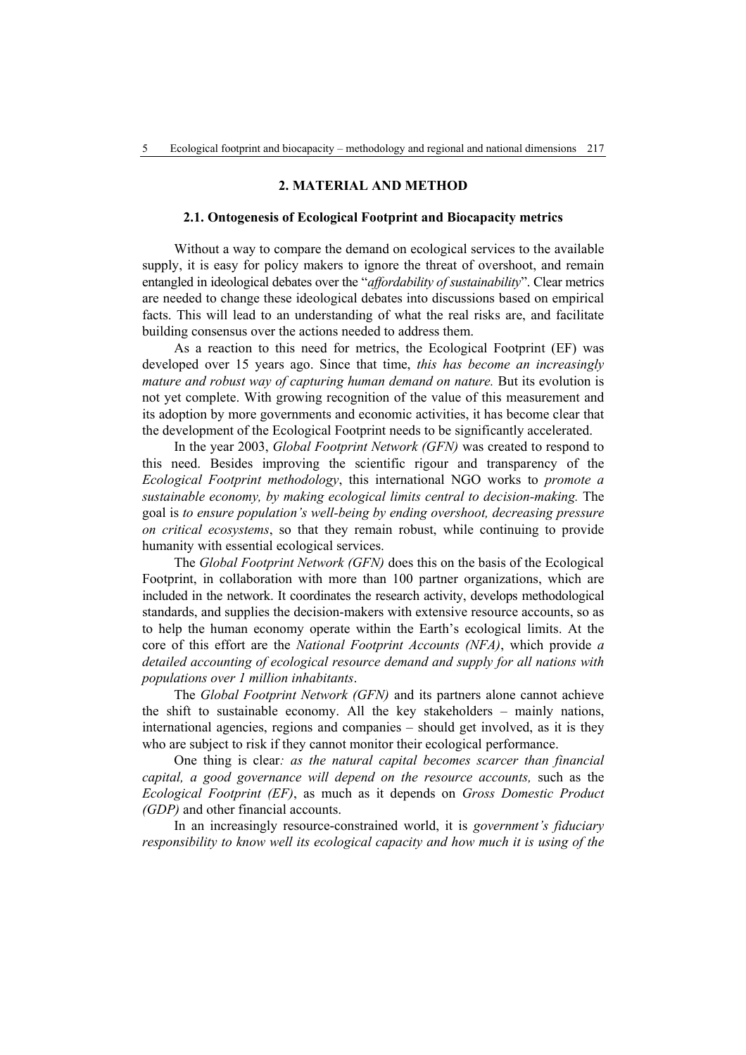## **2. MATERIAL AND METHOD**

#### **2.1. Ontogenesis of Ecological Footprint and Biocapacity metrics**

Without a way to compare the demand on ecological services to the available supply, it is easy for policy makers to ignore the threat of overshoot, and remain entangled in ideological debates over the "*affordability of sustainability*". Clear metrics are needed to change these ideological debates into discussions based on empirical facts. This will lead to an understanding of what the real risks are, and facilitate building consensus over the actions needed to address them.

As a reaction to this need for metrics, the Ecological Footprint (EF) was developed over 15 years ago. Since that time, *this has become an increasingly mature and robust way of capturing human demand on nature.* But its evolution is not yet complete. With growing recognition of the value of this measurement and its adoption by more governments and economic activities, it has become clear that the development of the Ecological Footprint needs to be significantly accelerated.

In the year 2003, *Global Footprint Network (GFN)* was created to respond to this need. Besides improving the scientific rigour and transparency of the *Ecological Footprint methodology*, this international NGO works to *promote a sustainable economy, by making ecological limits central to decision-making.* The goal is *to ensure population's well-being by ending overshoot, decreasing pressure on critical ecosystems*, so that they remain robust, while continuing to provide humanity with essential ecological services.

The *Global Footprint Network (GFN)* does this on the basis of the Ecological Footprint, in collaboration with more than 100 partner organizations, which are included in the network. It coordinates the research activity, develops methodological standards, and supplies the decision-makers with extensive resource accounts, so as to help the human economy operate within the Earth's ecological limits. At the core of this effort are the *National Footprint Accounts (NFA)*, which provide *a detailed accounting of ecological resource demand and supply for all nations with populations over 1 million inhabitants*.

The *Global Footprint Network (GFN)* and its partners alone cannot achieve the shift to sustainable economy. All the key stakeholders – mainly nations, international agencies, regions and companies – should get involved, as it is they who are subject to risk if they cannot monitor their ecological performance.

One thing is clear*: as the natural capital becomes scarcer than financial capital, a good governance will depend on the resource accounts,* such as the *Ecological Footprint (EF)*, as much as it depends on *Gross Domestic Product (GDP)* and other financial accounts.

In an increasingly resource-constrained world, it is *government's fiduciary responsibility to know well its ecological capacity and how much it is using of the*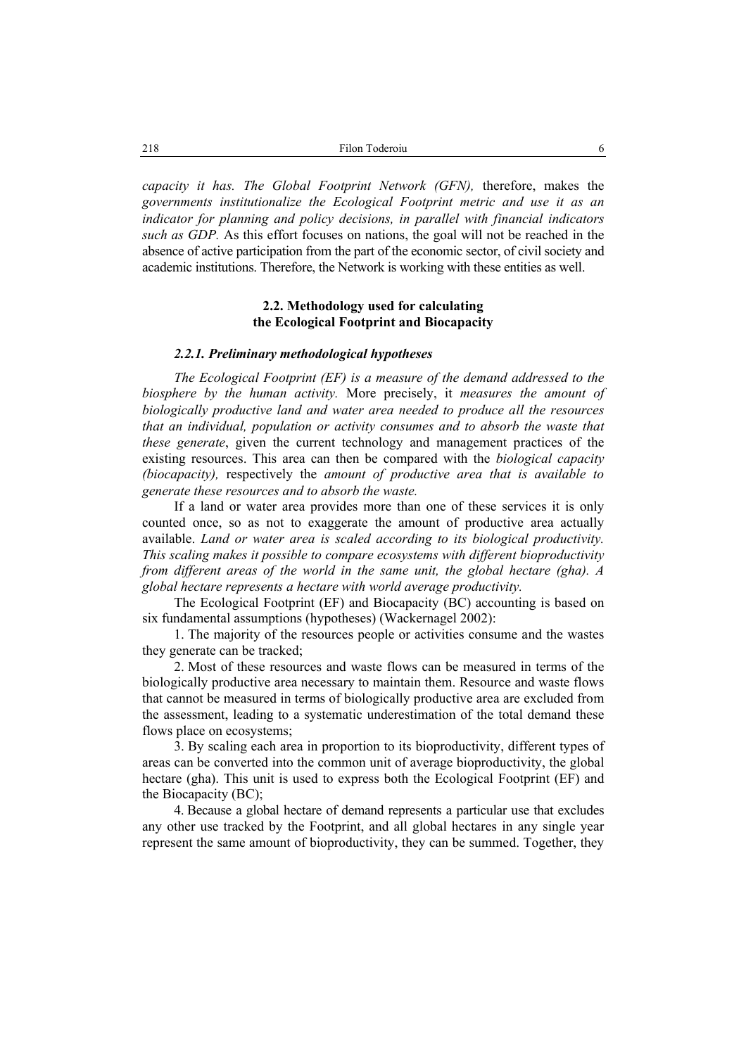*capacity it has. The Global Footprint Network (GFN),* therefore, makes the *governments institutionalize the Ecological Footprint metric and use it as an indicator for planning and policy decisions, in parallel with financial indicators such as GDP.* As this effort focuses on nations, the goal will not be reached in the absence of active participation from the part of the economic sector, of civil society and academic institutions. Therefore, the Network is working with these entities as well.

# **2.2. Methodology used for calculating the Ecological Footprint and Biocapacity**

#### *2.2.1. Preliminary methodological hypotheses*

*The Ecological Footprint (EF) is a measure of the demand addressed to the biosphere by the human activity.* More precisely, it *measures the amount of biologically productive land and water area needed to produce all the resources that an individual, population or activity consumes and to absorb the waste that these generate*, given the current technology and management practices of the existing resources. This area can then be compared with the *biological capacity (biocapacity),* respectively the *amount of productive area that is available to generate these resources and to absorb the waste.* 

If a land or water area provides more than one of these services it is only counted once, so as not to exaggerate the amount of productive area actually available. *Land or water area is scaled according to its biological productivity. This scaling makes it possible to compare ecosystems with different bioproductivity from different areas of the world in the same unit, the global hectare (gha). A global hectare represents a hectare with world average productivity.* 

The Ecological Footprint (EF) and Biocapacity (BC) accounting is based on six fundamental assumptions (hypotheses) (Wackernagel 2002):

1. The majority of the resources people or activities consume and the wastes they generate can be tracked;

2. Most of these resources and waste flows can be measured in terms of the biologically productive area necessary to maintain them. Resource and waste flows that cannot be measured in terms of biologically productive area are excluded from the assessment, leading to a systematic underestimation of the total demand these flows place on ecosystems;

3. By scaling each area in proportion to its bioproductivity, different types of areas can be converted into the common unit of average bioproductivity, the global hectare (gha). This unit is used to express both the Ecological Footprint (EF) and the Biocapacity (BC);

4. Because a global hectare of demand represents a particular use that excludes any other use tracked by the Footprint, and all global hectares in any single year represent the same amount of bioproductivity, they can be summed. Together, they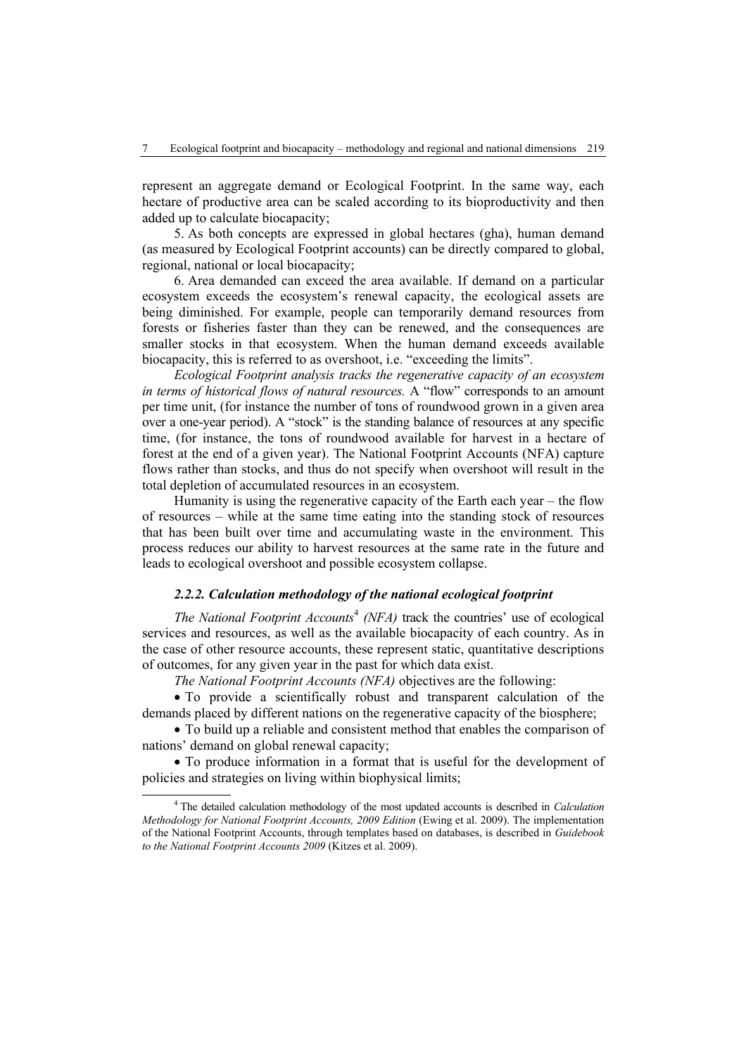represent an aggregate demand or Ecological Footprint. In the same way, each hectare of productive area can be scaled according to its bioproductivity and then added up to calculate biocapacity;

5. As both concepts are expressed in global hectares (gha), human demand (as measured by Ecological Footprint accounts) can be directly compared to global, regional, national or local biocapacity;

6. Area demanded can exceed the area available. If demand on a particular ecosystem exceeds the ecosystem's renewal capacity, the ecological assets are being diminished. For example, people can temporarily demand resources from forests or fisheries faster than they can be renewed, and the consequences are smaller stocks in that ecosystem. When the human demand exceeds available biocapacity, this is referred to as overshoot, i.e. "exceeding the limits".

*Ecological Footprint analysis tracks the regenerative capacity of an ecosystem in terms of historical flows of natural resources.* A "flow" corresponds to an amount per time unit, (for instance the number of tons of roundwood grown in a given area over a one-year period). A "stock" is the standing balance of resources at any specific time, (for instance, the tons of roundwood available for harvest in a hectare of forest at the end of a given year). The National Footprint Accounts (NFA) capture flows rather than stocks, and thus do not specify when overshoot will result in the total depletion of accumulated resources in an ecosystem.

Humanity is using the regenerative capacity of the Earth each year – the flow of resources – while at the same time eating into the standing stock of resources that has been built over time and accumulating waste in the environment. This process reduces our ability to harvest resources at the same rate in the future and leads to ecological overshoot and possible ecosystem collapse.

# *2.2.2. Calculation methodology of the national ecological footprint*

*The National Footprint Accounts*<sup>4</sup> *(NFA)* track the countries' use of ecological services and resources, as well as the available biocapacity of each country. As in the case of other resource accounts, these represent static, quantitative descriptions of outcomes, for any given year in the past for which data exist.

*The National Footprint Accounts (NFA)* objectives are the following:

• To provide a scientifically robust and transparent calculation of the demands placed by different nations on the regenerative capacity of the biosphere;

• To build up a reliable and consistent method that enables the comparison of nations' demand on global renewal capacity;

• To produce information in a format that is useful for the development of policies and strategies on living within biophysical limits;

 $\overline{4}$  The detailed calculation methodology of the most updated accounts is described in *Calculation Methodology for National Footprint Accounts, 2009 Edition (Ewing et al. 2009). The implementation* of the National Footprint Accounts, through templates based on databases, is described in *Guidebook to the National Footprint Accounts 2009* (Kitzes et al. 2009).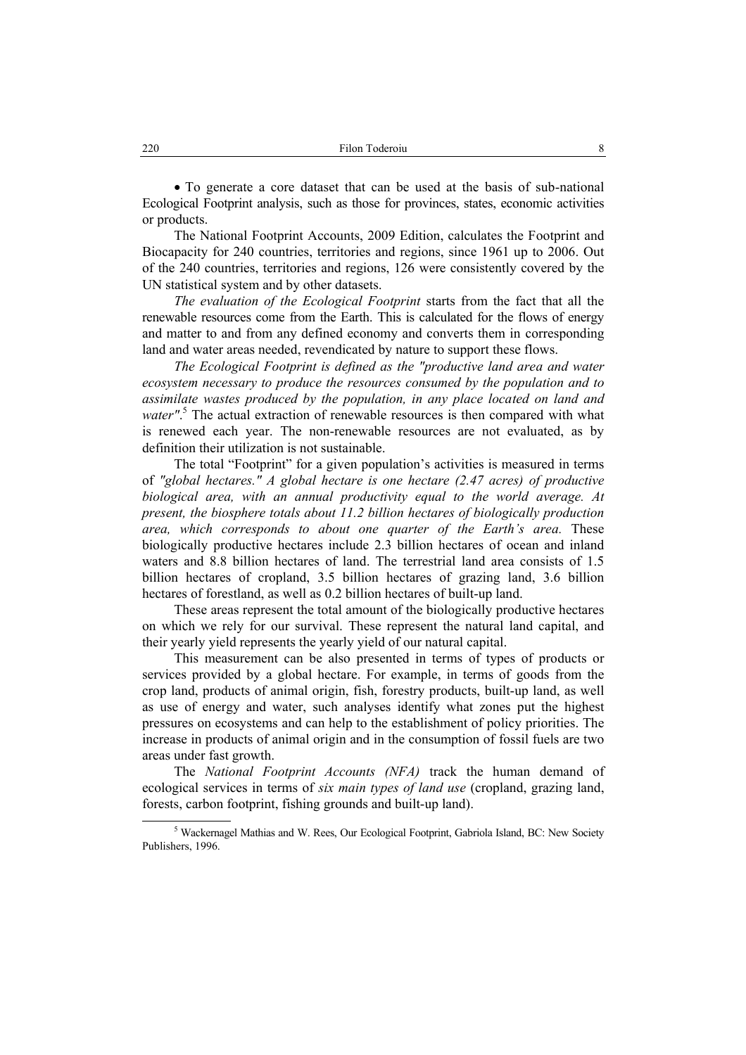• To generate a core dataset that can be used at the basis of sub-national Ecological Footprint analysis, such as those for provinces, states, economic activities or products.

The National Footprint Accounts, 2009 Edition, calculates the Footprint and Biocapacity for 240 countries, territories and regions, since 1961 up to 2006. Out of the 240 countries, territories and regions, 126 were consistently covered by the UN statistical system and by other datasets.

*The evaluation of the Ecological Footprint* starts from the fact that all the renewable resources come from the Earth. This is calculated for the flows of energy and matter to and from any defined economy and converts them in corresponding land and water areas needed, revendicated by nature to support these flows.

*The Ecological Footprint is defined as the "productive land area and water ecosystem necessary to produce the resources consumed by the population and to assimilate wastes produced by the population, in any place located on land and*  water".<sup>5</sup> The actual extraction of renewable resources is then compared with what is renewed each year. The non-renewable resources are not evaluated, as by definition their utilization is not sustainable.

The total "Footprint" for a given population's activities is measured in terms of *"global hectares." A global hectare is one hectare (2.47 acres) of productive biological area, with an annual productivity equal to the world average. At present, the biosphere totals about 11.2 billion hectares of biologically production area, which corresponds to about one quarter of the Earth's area.* These biologically productive hectares include 2.3 billion hectares of ocean and inland waters and 8.8 billion hectares of land. The terrestrial land area consists of 1.5 billion hectares of cropland, 3.5 billion hectares of grazing land, 3.6 billion hectares of forestland, as well as 0.2 billion hectares of built-up land.

These areas represent the total amount of the biologically productive hectares on which we rely for our survival. These represent the natural land capital, and their yearly yield represents the yearly yield of our natural capital.

This measurement can be also presented in terms of types of products or services provided by a global hectare. For example, in terms of goods from the crop land, products of animal origin, fish, forestry products, built-up land, as well as use of energy and water, such analyses identify what zones put the highest pressures on ecosystems and can help to the establishment of policy priorities. The increase in products of animal origin and in the consumption of fossil fuels are two areas under fast growth.

The *National Footprint Accounts (NFA)* track the human demand of ecological services in terms of *six main types of land use* (cropland, grazing land, forests, carbon footprint, fishing grounds and built-up land).

 $rac{1}{5}$ <sup>5</sup> Wackernagel Mathias and W. Rees, Our Ecological Footprint, Gabriola Island, BC: New Society Publishers, 1996.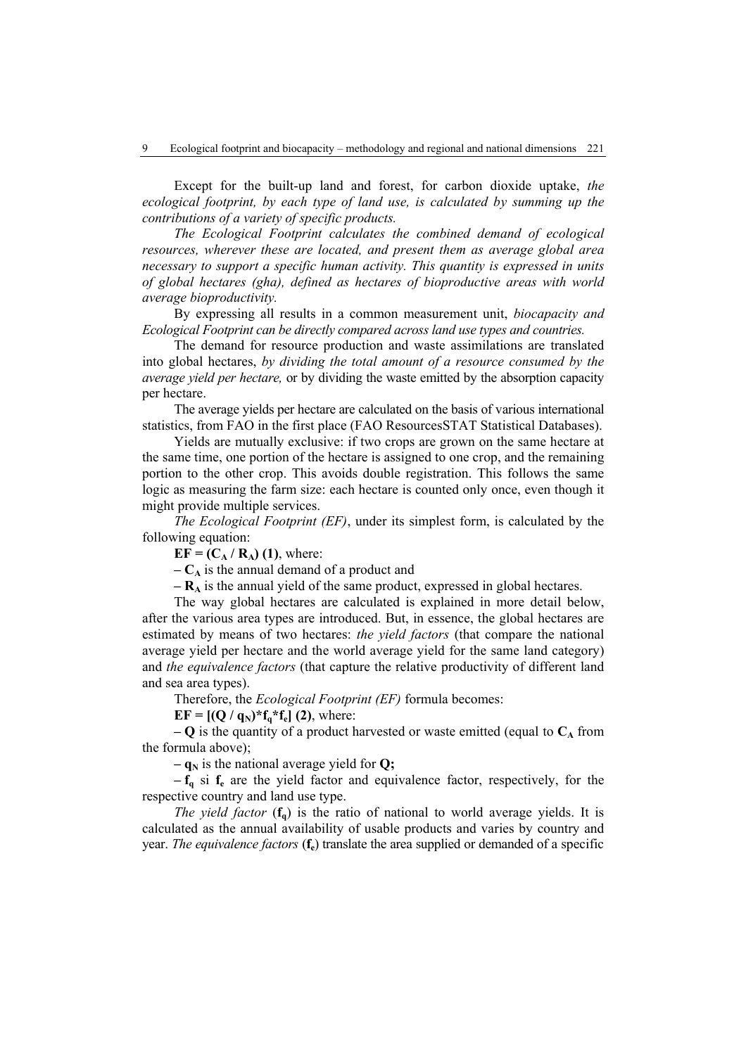Except for the built-up land and forest, for carbon dioxide uptake, *the ecological footprint, by each type of land use, is calculated by summing up the contributions of a variety of specific products.* 

*The Ecological Footprint calculates the combined demand of ecological resources, wherever these are located, and present them as average global area necessary to support a specific human activity. This quantity is expressed in units of global hectares (gha), defined as hectares of bioproductive areas with world average bioproductivity.* 

By expressing all results in a common measurement unit, *biocapacity and Ecological Footprint can be directly compared across land use types and countries.*

The demand for resource production and waste assimilations are translated into global hectares, *by dividing the total amount of a resource consumed by the average yield per hectare,* or by dividing the waste emitted by the absorption capacity per hectare.

The average yields per hectare are calculated on the basis of various international statistics, from FAO in the first place (FAO ResourcesSTAT Statistical Databases).

Yields are mutually exclusive: if two crops are grown on the same hectare at the same time, one portion of the hectare is assigned to one crop, and the remaining portion to the other crop. This avoids double registration. This follows the same logic as measuring the farm size: each hectare is counted only once, even though it might provide multiple services.

*The Ecological Footprint (EF)*, under its simplest form, is calculated by the following equation:

 $EF = (C_A / R_A)$  (1), where:

 $-C_A$  is the annual demand of a product and

 $-$ **R**<sup> $\text{A}$  is the annual yield of the same product, expressed in global hectares.</sup>

The way global hectares are calculated is explained in more detail below, after the various area types are introduced. But, in essence, the global hectares are estimated by means of two hectares: *the yield factors* (that compare the national average yield per hectare and the world average yield for the same land category) and *the equivalence factors* (that capture the relative productivity of different land and sea area types).

Therefore, the *Ecological Footprint (EF)* formula becomes:

 $EF = [(Q / q_N)^* f_a^* f_e]$  (2), where:

 $-Q$  is the quantity of a product harvested or waste emitted (equal to  $C_A$  from the formula above);

 $-$ **q**<sub>N</sub> is the national average yield for **Q**;

 $-f_{q}$  si  $f_{e}$  are the yield factor and equivalence factor, respectively, for the respective country and land use type.

*The yield factor*  $(f_q)$  is the ratio of national to world average yields. It is calculated as the annual availability of usable products and varies by country and year. *The equivalence factors* (**fe**) translate the area supplied or demanded of a specific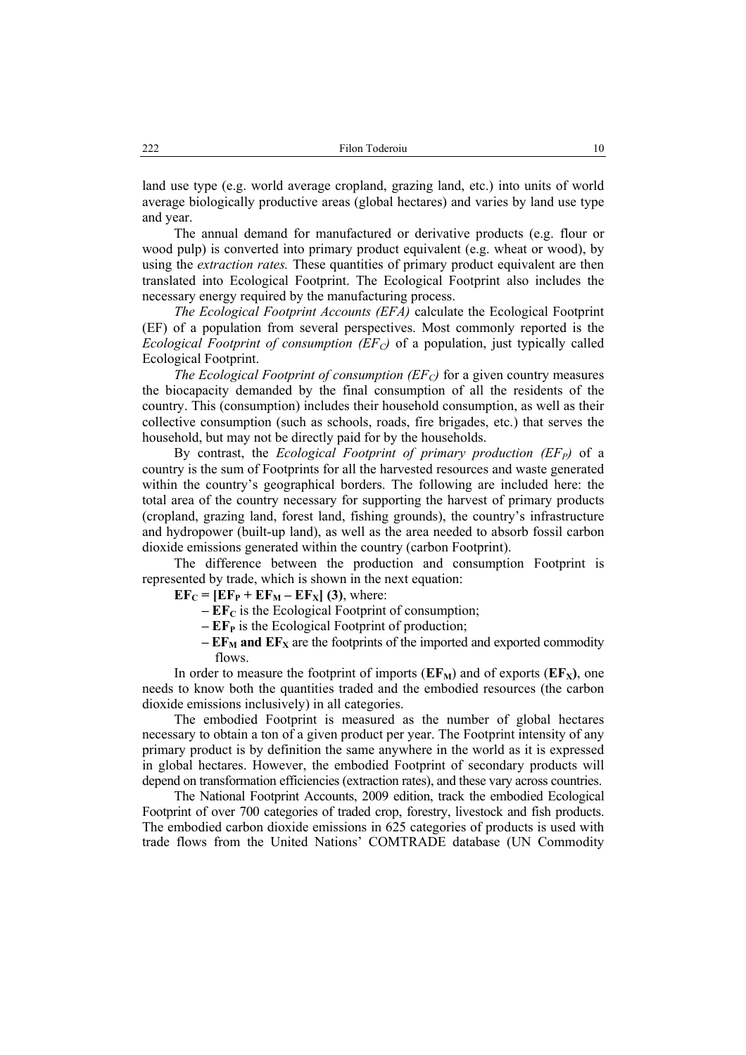land use type (e.g. world average cropland, grazing land, etc.) into units of world average biologically productive areas (global hectares) and varies by land use type and year.

The annual demand for manufactured or derivative products (e.g. flour or wood pulp) is converted into primary product equivalent (e.g. wheat or wood), by using the *extraction rates.* These quantities of primary product equivalent are then translated into Ecological Footprint. The Ecological Footprint also includes the necessary energy required by the manufacturing process.

*The Ecological Footprint Accounts (EFA)* calculate the Ecological Footprint (EF) of a population from several perspectives. Most commonly reported is the *Ecological Footprint of consumption (EF<sub>C</sub>)* of a population, just typically called Ecological Footprint.

*The Ecological Footprint of consumption (EF<sub>C</sub>)* for a given country measures the biocapacity demanded by the final consumption of all the residents of the country. This (consumption) includes their household consumption, as well as their collective consumption (such as schools, roads, fire brigades, etc.) that serves the household, but may not be directly paid for by the households.

By contrast, the *Ecological Footprint of primary production (EF<sub>P</sub>)* of a country is the sum of Footprints for all the harvested resources and waste generated within the country's geographical borders. The following are included here: the total area of the country necessary for supporting the harvest of primary products (cropland, grazing land, forest land, fishing grounds), the country's infrastructure and hydropower (built-up land), as well as the area needed to absorb fossil carbon dioxide emissions generated within the country (carbon Footprint).

The difference between the production and consumption Footprint is represented by trade, which is shown in the next equation:

 $EF_C = [EF_P + EF_M - EF_X]$  (3), where:

- $-EF_C$  is the Ecological Footprint of consumption;
- $-$  **EF** $_{P}$  is the Ecological Footprint of production;
- $-EF_M$  and  $EF_X$  are the footprints of the imported and exported commodity flows.

In order to measure the footprint of imports  $(EF_M)$  and of exports  $(EF_X)$ , one needs to know both the quantities traded and the embodied resources (the carbon dioxide emissions inclusively) in all categories.

The embodied Footprint is measured as the number of global hectares necessary to obtain a ton of a given product per year. The Footprint intensity of any primary product is by definition the same anywhere in the world as it is expressed in global hectares. However, the embodied Footprint of secondary products will depend on transformation efficiencies (extraction rates), and these vary across countries.

The National Footprint Accounts, 2009 edition, track the embodied Ecological Footprint of over 700 categories of traded crop, forestry, livestock and fish products. The embodied carbon dioxide emissions in 625 categories of products is used with trade flows from the United Nations' COMTRADE database (UN Commodity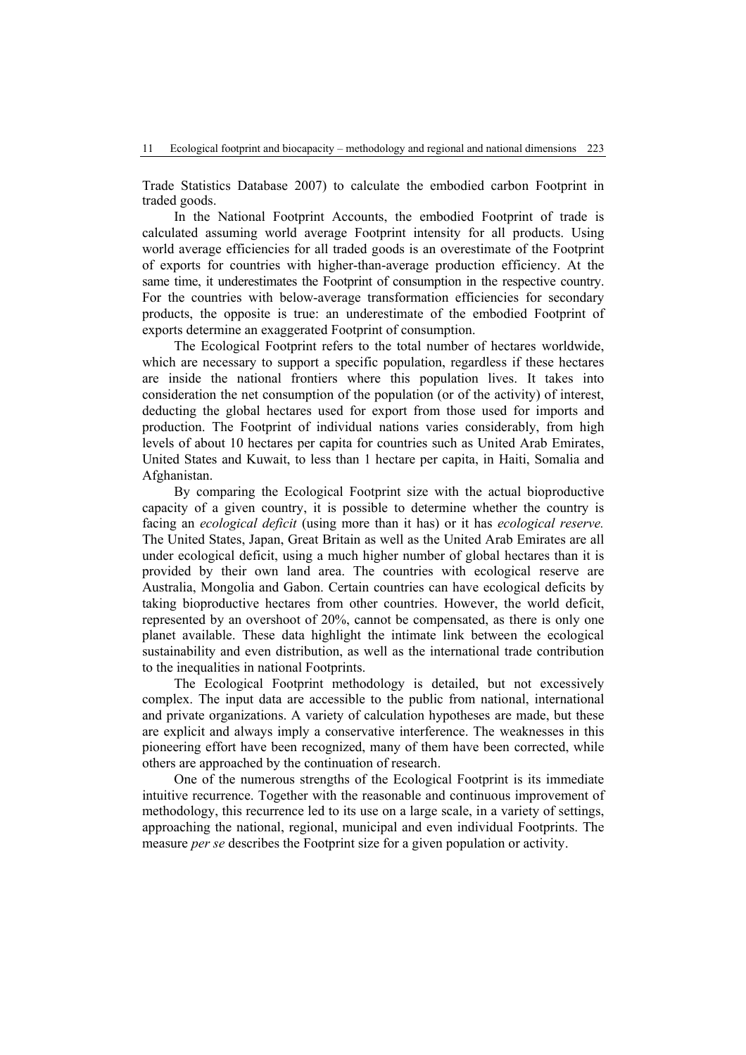Trade Statistics Database 2007) to calculate the embodied carbon Footprint in traded goods.

In the National Footprint Accounts, the embodied Footprint of trade is calculated assuming world average Footprint intensity for all products. Using world average efficiencies for all traded goods is an overestimate of the Footprint of exports for countries with higher-than-average production efficiency. At the same time, it underestimates the Footprint of consumption in the respective country. For the countries with below-average transformation efficiencies for secondary products, the opposite is true: an underestimate of the embodied Footprint of exports determine an exaggerated Footprint of consumption.

The Ecological Footprint refers to the total number of hectares worldwide, which are necessary to support a specific population, regardless if these hectares are inside the national frontiers where this population lives. It takes into consideration the net consumption of the population (or of the activity) of interest, deducting the global hectares used for export from those used for imports and production. The Footprint of individual nations varies considerably, from high levels of about 10 hectares per capita for countries such as United Arab Emirates, United States and Kuwait, to less than 1 hectare per capita, in Haiti, Somalia and Afghanistan.

By comparing the Ecological Footprint size with the actual bioproductive capacity of a given country, it is possible to determine whether the country is facing an *ecological deficit* (using more than it has) or it has *ecological reserve.*  The United States, Japan, Great Britain as well as the United Arab Emirates are all under ecological deficit, using a much higher number of global hectares than it is provided by their own land area. The countries with ecological reserve are Australia, Mongolia and Gabon. Certain countries can have ecological deficits by taking bioproductive hectares from other countries. However, the world deficit, represented by an overshoot of 20%, cannot be compensated, as there is only one planet available. These data highlight the intimate link between the ecological sustainability and even distribution, as well as the international trade contribution to the inequalities in national Footprints.

The Ecological Footprint methodology is detailed, but not excessively complex. The input data are accessible to the public from national, international and private organizations. A variety of calculation hypotheses are made, but these are explicit and always imply a conservative interference. The weaknesses in this pioneering effort have been recognized, many of them have been corrected, while others are approached by the continuation of research.

One of the numerous strengths of the Ecological Footprint is its immediate intuitive recurrence. Together with the reasonable and continuous improvement of methodology, this recurrence led to its use on a large scale, in a variety of settings, approaching the national, regional, municipal and even individual Footprints. The measure *per se* describes the Footprint size for a given population or activity.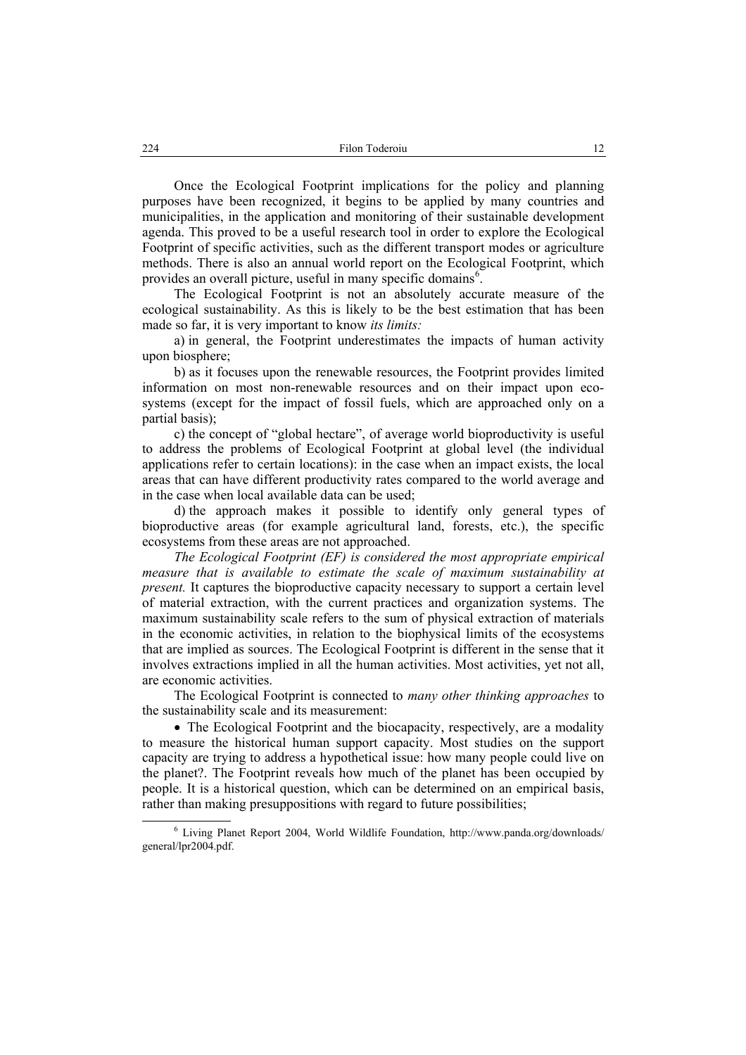Once the Ecological Footprint implications for the policy and planning purposes have been recognized, it begins to be applied by many countries and municipalities, in the application and monitoring of their sustainable development agenda. This proved to be a useful research tool in order to explore the Ecological Footprint of specific activities, such as the different transport modes or agriculture methods. There is also an annual world report on the Ecological Footprint, which provides an overall picture, useful in many specific domains<sup>6</sup>.

The Ecological Footprint is not an absolutely accurate measure of the ecological sustainability. As this is likely to be the best estimation that has been made so far, it is very important to know *its limits:*

a) in general, the Footprint underestimates the impacts of human activity upon biosphere;

b) as it focuses upon the renewable resources, the Footprint provides limited information on most non-renewable resources and on their impact upon ecosystems (except for the impact of fossil fuels, which are approached only on a partial basis);

c) the concept of "global hectare", of average world bioproductivity is useful to address the problems of Ecological Footprint at global level (the individual applications refer to certain locations): in the case when an impact exists, the local areas that can have different productivity rates compared to the world average and in the case when local available data can be used;

d) the approach makes it possible to identify only general types of bioproductive areas (for example agricultural land, forests, etc.), the specific ecosystems from these areas are not approached.

*The Ecological Footprint (EF) is considered the most appropriate empirical measure that is available to estimate the scale of maximum sustainability at present.* It captures the bioproductive capacity necessary to support a certain level of material extraction, with the current practices and organization systems. The maximum sustainability scale refers to the sum of physical extraction of materials in the economic activities, in relation to the biophysical limits of the ecosystems that are implied as sources. The Ecological Footprint is different in the sense that it involves extractions implied in all the human activities. Most activities, yet not all, are economic activities.

The Ecological Footprint is connected to *many other thinking approaches* to the sustainability scale and its measurement:

• The Ecological Footprint and the biocapacity, respectively, are a modality to measure the historical human support capacity. Most studies on the support capacity are trying to address a hypothetical issue: how many people could live on the planet?. The Footprint reveals how much of the planet has been occupied by people. It is a historical question, which can be determined on an empirical basis, rather than making presuppositions with regard to future possibilities;

 <sup>6</sup> Living Planet Report 2004, World Wildlife Foundation, http://www.panda.org/downloads/ general/lpr2004.pdf.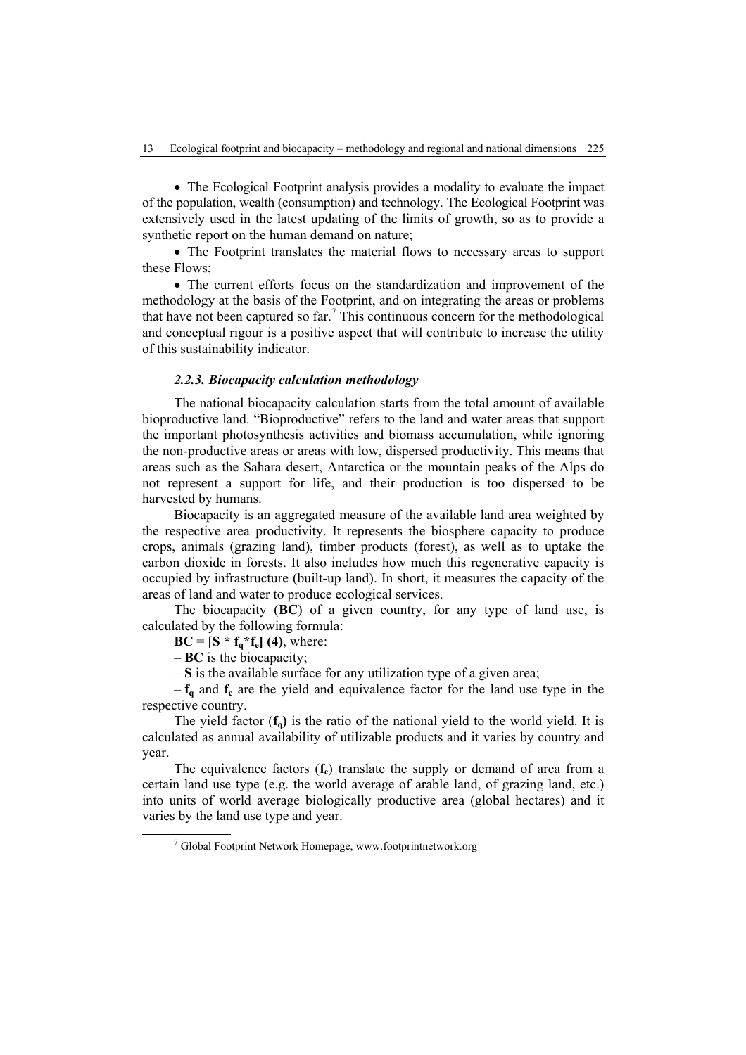• The Ecological Footprint analysis provides a modality to evaluate the impact of the population, wealth (consumption) and technology. The Ecological Footprint was extensively used in the latest updating of the limits of growth, so as to provide a synthetic report on the human demand on nature;

• The Footprint translates the material flows to necessary areas to support these Flows;

• The current efforts focus on the standardization and improvement of the methodology at the basis of the Footprint, and on integrating the areas or problems that have not been captured so  $far$ .<sup>7</sup> This continuous concern for the methodological and conceptual rigour is a positive aspect that will contribute to increase the utility of this sustainability indicator.

## *2.2.3. Biocapacity calculation methodology*

The national biocapacity calculation starts from the total amount of available bioproductive land. "Bioproductive" refers to the land and water areas that support the important photosynthesis activities and biomass accumulation, while ignoring the non-productive areas or areas with low, dispersed productivity. This means that areas such as the Sahara desert, Antarctica or the mountain peaks of the Alps do not represent a support for life, and their production is too dispersed to be harvested by humans.

Biocapacity is an aggregated measure of the available land area weighted by the respective area productivity. It represents the biosphere capacity to produce crops, animals (grazing land), timber products (forest), as well as to uptake the carbon dioxide in forests. It also includes how much this regenerative capacity is occupied by infrastructure (built-up land). In short, it measures the capacity of the areas of land and water to produce ecological services.

The biocapacity (**BC**) of a given country, for any type of land use, is calculated by the following formula:

 $BC = [S * f_a * f_e]$  (4), where:

– **BC** is the biocapacity;

– **S** is the available surface for any utilization type of a given area;

 $-f_{q}$  and  $f_{e}$  are the yield and equivalence factor for the land use type in the respective country.

The yield factor  $(f_0)$  is the ratio of the national yield to the world yield. It is calculated as annual availability of utilizable products and it varies by country and year.

The equivalence factors (**f**<sub>e</sub>) translate the supply or demand of area from a certain land use type (e.g. the world average of arable land, of grazing land, etc.) into units of world average biologically productive area (global hectares) and it varies by the land use type and year.

 <sup>7</sup> <sup>7</sup> Global Footprint Network Homepage, www.footprintnetwork.org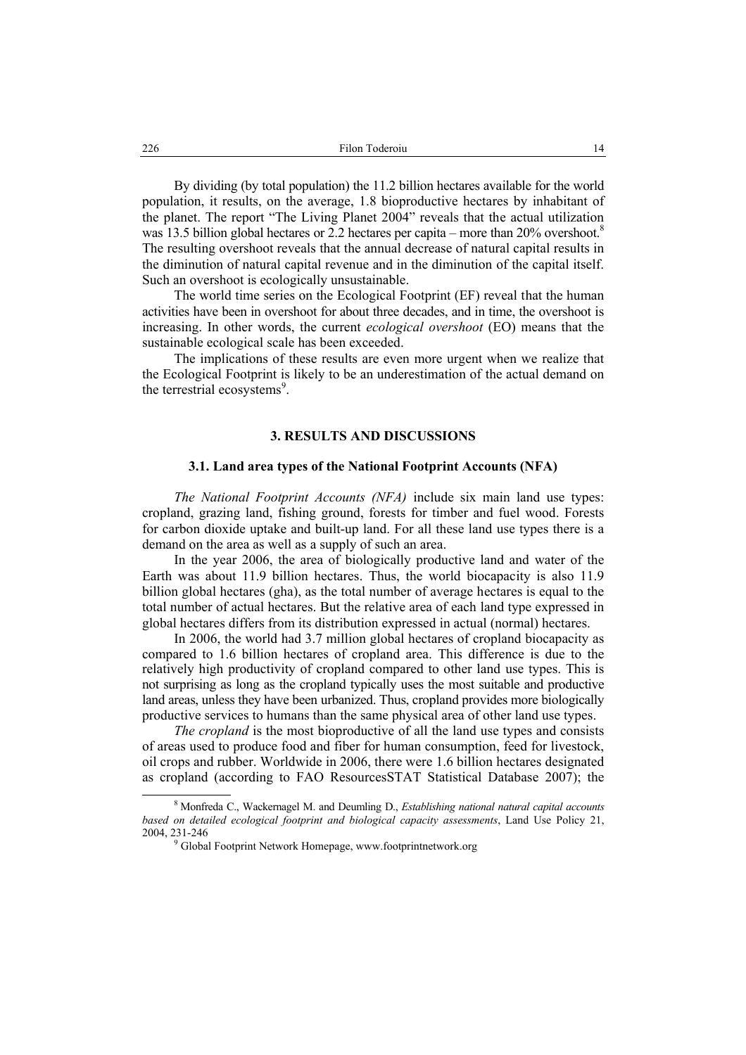By dividing (by total population) the 11.2 billion hectares available for the world population, it results, on the average, 1.8 bioproductive hectares by inhabitant of the planet. The report "The Living Planet 2004" reveals that the actual utilization was 13.5 billion global hectares or 2.2 hectares per capita – more than 20% overshoot.<sup>8</sup> The resulting overshoot reveals that the annual decrease of natural capital results in the diminution of natural capital revenue and in the diminution of the capital itself. Such an overshoot is ecologically unsustainable.

The world time series on the Ecological Footprint (EF) reveal that the human activities have been in overshoot for about three decades, and in time, the overshoot is increasing. In other words, the current *ecological overshoot* (EO) means that the sustainable ecological scale has been exceeded.

The implications of these results are even more urgent when we realize that the Ecological Footprint is likely to be an underestimation of the actual demand on the terrestrial ecosystems<sup>9</sup>.

#### **3. RESULTS AND DISCUSSIONS**

#### **3.1. Land area types of the National Footprint Accounts (NFA)**

*The National Footprint Accounts (NFA)* include six main land use types: cropland, grazing land, fishing ground, forests for timber and fuel wood. Forests for carbon dioxide uptake and built-up land. For all these land use types there is a demand on the area as well as a supply of such an area.

In the year 2006, the area of biologically productive land and water of the Earth was about 11.9 billion hectares. Thus, the world biocapacity is also 11.9 billion global hectares (gha), as the total number of average hectares is equal to the total number of actual hectares. But the relative area of each land type expressed in global hectares differs from its distribution expressed in actual (normal) hectares.

In 2006, the world had 3.7 million global hectares of cropland biocapacity as compared to 1.6 billion hectares of cropland area. This difference is due to the relatively high productivity of cropland compared to other land use types. This is not surprising as long as the cropland typically uses the most suitable and productive land areas, unless they have been urbanized. Thus, cropland provides more biologically productive services to humans than the same physical area of other land use types.

*The cropland* is the most bioproductive of all the land use types and consists of areas used to produce food and fiber for human consumption, feed for livestock, oil crops and rubber. Worldwide in 2006, there were 1.6 billion hectares designated as cropland (according to FAO ResourcesSTAT Statistical Database 2007); the

 <sup>8</sup> Monfreda C., Wackernagel M. and Deumling D., *Establishing national natural capital accounts based on detailed ecological footprint and biological capacity assessments*, Land Use Policy 21, 2004, 231-246 9

<sup>&</sup>lt;sup>9</sup> Global Footprint Network Homepage, www.footprintnetwork.org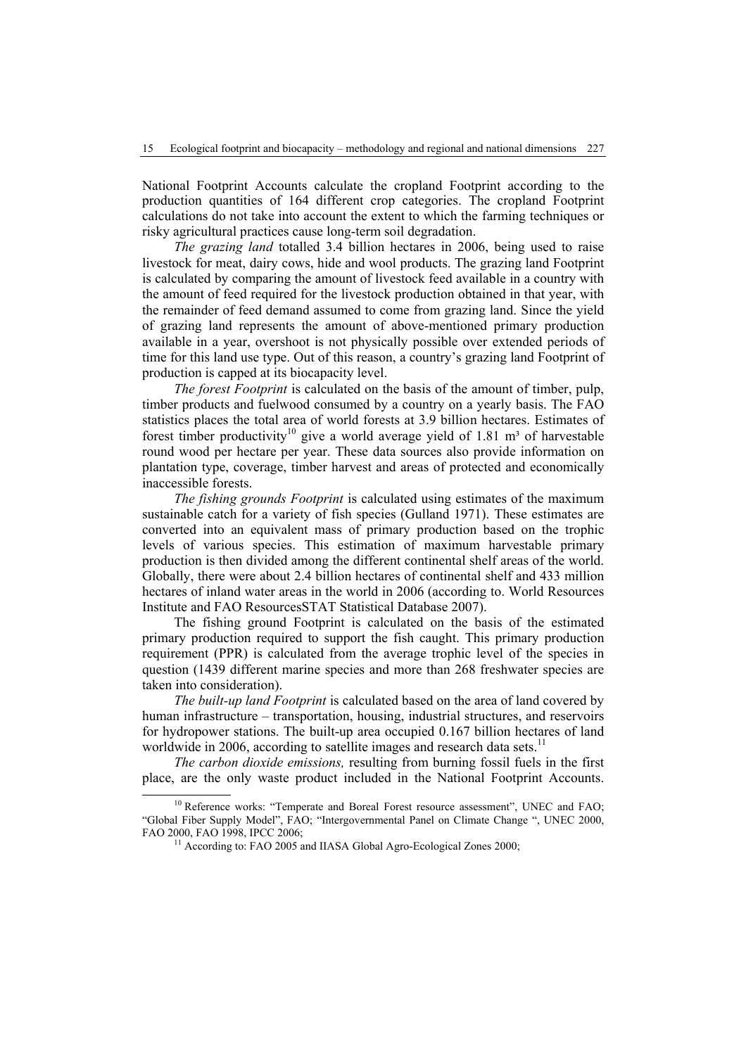National Footprint Accounts calculate the cropland Footprint according to the production quantities of 164 different crop categories. The cropland Footprint calculations do not take into account the extent to which the farming techniques or risky agricultural practices cause long-term soil degradation.

*The grazing land* totalled 3.4 billion hectares in 2006, being used to raise livestock for meat, dairy cows, hide and wool products. The grazing land Footprint is calculated by comparing the amount of livestock feed available in a country with the amount of feed required for the livestock production obtained in that year, with the remainder of feed demand assumed to come from grazing land. Since the yield of grazing land represents the amount of above-mentioned primary production available in a year, overshoot is not physically possible over extended periods of time for this land use type. Out of this reason, a country's grazing land Footprint of production is capped at its biocapacity level.

*The forest Footprint* is calculated on the basis of the amount of timber, pulp, timber products and fuelwood consumed by a country on a yearly basis. The FAO statistics places the total area of world forests at 3.9 billion hectares. Estimates of forest timber productivity<sup>10</sup> give a world average yield of 1.81 m<sup>3</sup> of harvestable round wood per hectare per year. These data sources also provide information on plantation type, coverage, timber harvest and areas of protected and economically inaccessible forests.

*The fishing grounds Footprint* is calculated using estimates of the maximum sustainable catch for a variety of fish species (Gulland 1971). These estimates are converted into an equivalent mass of primary production based on the trophic levels of various species. This estimation of maximum harvestable primary production is then divided among the different continental shelf areas of the world. Globally, there were about 2.4 billion hectares of continental shelf and 433 million hectares of inland water areas in the world in 2006 (according to. World Resources Institute and FAO ResourcesSTAT Statistical Database 2007).

The fishing ground Footprint is calculated on the basis of the estimated primary production required to support the fish caught. This primary production requirement (PPR) is calculated from the average trophic level of the species in question (1439 different marine species and more than 268 freshwater species are taken into consideration).

*The built-up land Footprint* is calculated based on the area of land covered by human infrastructure – transportation, housing, industrial structures, and reservoirs for hydropower stations. The built-up area occupied 0.167 billion hectares of land worldwide in 2006, according to satellite images and research data sets.<sup>11</sup>

*The carbon dioxide emissions,* resulting from burning fossil fuels in the first place, are the only waste product included in the National Footprint Accounts.

<sup>&</sup>lt;sup>10</sup> Reference works: "Temperate and Boreal Forest resource assessment", UNEC and FAO; "Global Fiber Supply Model", FAO; "Intergovernmental Panel on Climate Change ", UNEC 2000, FAO 2000, FAO 1998, IPCC 2006;<br><sup>11</sup> According to: FAO 2005 and IIASA Global Agro-Ecological Zones 2000;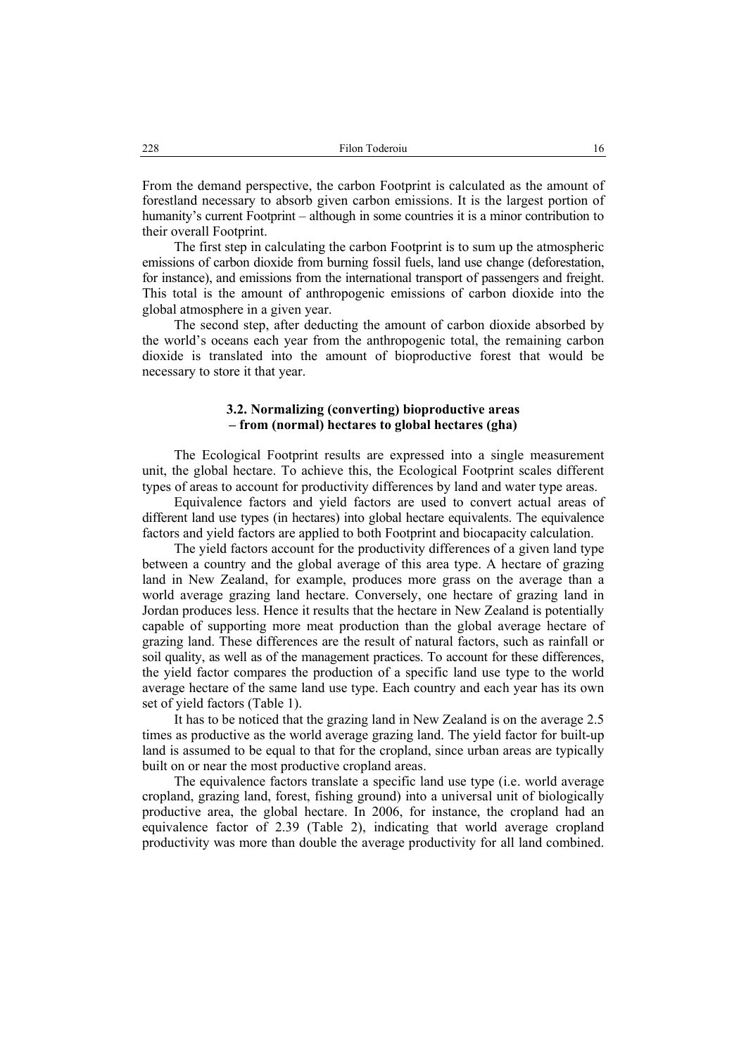From the demand perspective, the carbon Footprint is calculated as the amount of forestland necessary to absorb given carbon emissions. It is the largest portion of humanity's current Footprint – although in some countries it is a minor contribution to their overall Footprint.

The first step in calculating the carbon Footprint is to sum up the atmospheric emissions of carbon dioxide from burning fossil fuels, land use change (deforestation, for instance), and emissions from the international transport of passengers and freight. This total is the amount of anthropogenic emissions of carbon dioxide into the global atmosphere in a given year.

The second step, after deducting the amount of carbon dioxide absorbed by the world's oceans each year from the anthropogenic total, the remaining carbon dioxide is translated into the amount of bioproductive forest that would be necessary to store it that year.

## **3.2. Normalizing (converting) bioproductive areas – from (normal) hectares to global hectares (gha)**

The Ecological Footprint results are expressed into a single measurement unit, the global hectare. To achieve this, the Ecological Footprint scales different types of areas to account for productivity differences by land and water type areas.

Equivalence factors and yield factors are used to convert actual areas of different land use types (in hectares) into global hectare equivalents. The equivalence factors and yield factors are applied to both Footprint and biocapacity calculation.

The yield factors account for the productivity differences of a given land type between a country and the global average of this area type. A hectare of grazing land in New Zealand, for example, produces more grass on the average than a world average grazing land hectare. Conversely, one hectare of grazing land in Jordan produces less. Hence it results that the hectare in New Zealand is potentially capable of supporting more meat production than the global average hectare of grazing land. These differences are the result of natural factors, such as rainfall or soil quality, as well as of the management practices. To account for these differences, the yield factor compares the production of a specific land use type to the world average hectare of the same land use type. Each country and each year has its own set of yield factors (Table 1).

It has to be noticed that the grazing land in New Zealand is on the average 2.5 times as productive as the world average grazing land. The yield factor for built-up land is assumed to be equal to that for the cropland, since urban areas are typically built on or near the most productive cropland areas.

The equivalence factors translate a specific land use type (i.e. world average cropland, grazing land, forest, fishing ground) into a universal unit of biologically productive area, the global hectare. In 2006, for instance, the cropland had an equivalence factor of 2.39 (Table 2), indicating that world average cropland productivity was more than double the average productivity for all land combined.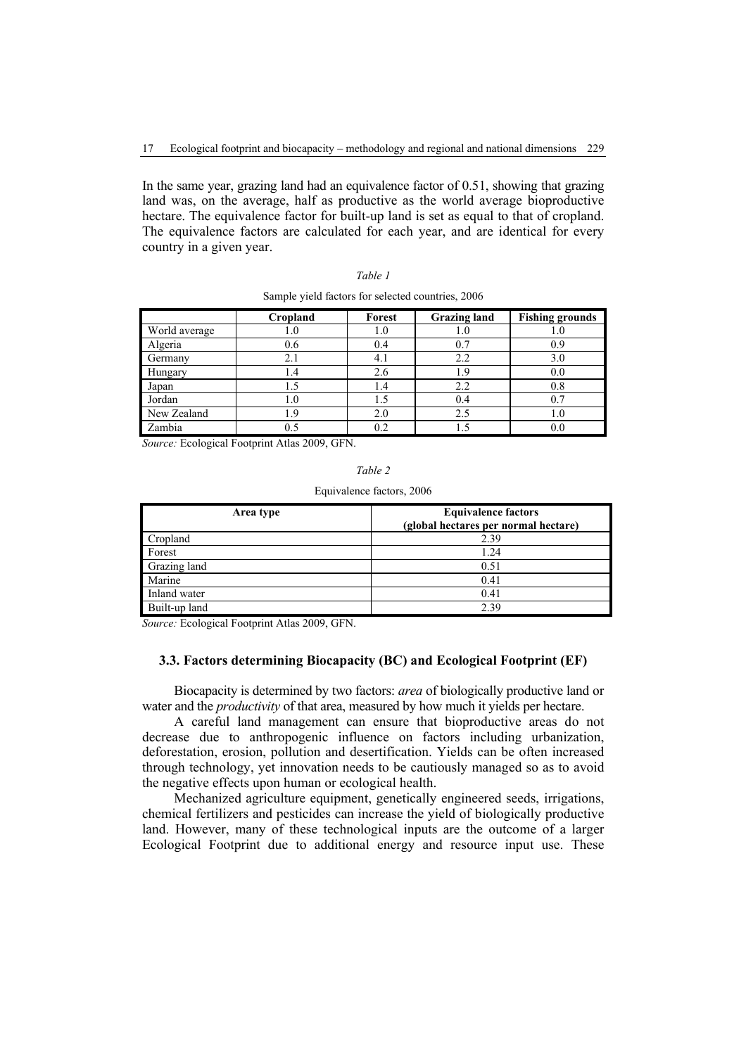In the same year, grazing land had an equivalence factor of 0.51, showing that grazing land was, on the average, half as productive as the world average bioproductive hectare. The equivalence factor for built-up land is set as equal to that of cropland. The equivalence factors are calculated for each year, and are identical for every country in a given year.

|               | Cropland | Forest | <b>Grazing land</b> | <b>Fishing grounds</b> |
|---------------|----------|--------|---------------------|------------------------|
| World average | 0.1      | 1.0    | 1.0                 | l J                    |
| Algeria       | 0.6      | 0.4    | 0.7                 | 0.9                    |
| Germany       | 2.1      | 4.1    | 2.2                 | 3.0                    |
| Hungary       | I .4     | 2.6    | 1.9                 | 0.0                    |
| Japan         | l .5     | 1.4    | 2.2                 | $0.8\,$                |
| Jordan        | 1.O      |        | 0.4                 |                        |
| New Zealand   | .9       | 2.0    | 2.5                 | 1.0                    |
| Zambia        | 0.5      | 0.2    |                     | 0.0                    |

| Table 1                                           |  |
|---------------------------------------------------|--|
| Sample yield factors for selected countries, 2006 |  |

*Source:* Ecological Footprint Atlas 2009, GFN.

Equivalence factors, 2006

| Area type     | <b>Equivalence factors</b><br>(global hectares per normal hectare) |
|---------------|--------------------------------------------------------------------|
| Cropland      | 2.39                                                               |
| Forest        | 1.24                                                               |
| Grazing land  | 0.51                                                               |
| Marine        | 0.41                                                               |
| Inland water  | 0.41                                                               |
| Built-up land | 2.39                                                               |

*Source:* Ecological Footprint Atlas 2009, GFN.

### **3.3. Factors determining Biocapacity (BC) and Ecological Footprint (EF)**

Biocapacity is determined by two factors: *area* of biologically productive land or water and the *productivity* of that area, measured by how much it yields per hectare.

A careful land management can ensure that bioproductive areas do not decrease due to anthropogenic influence on factors including urbanization, deforestation, erosion, pollution and desertification. Yields can be often increased through technology, yet innovation needs to be cautiously managed so as to avoid the negative effects upon human or ecological health.

Mechanized agriculture equipment, genetically engineered seeds, irrigations, chemical fertilizers and pesticides can increase the yield of biologically productive land. However, many of these technological inputs are the outcome of a larger Ecological Footprint due to additional energy and resource input use. These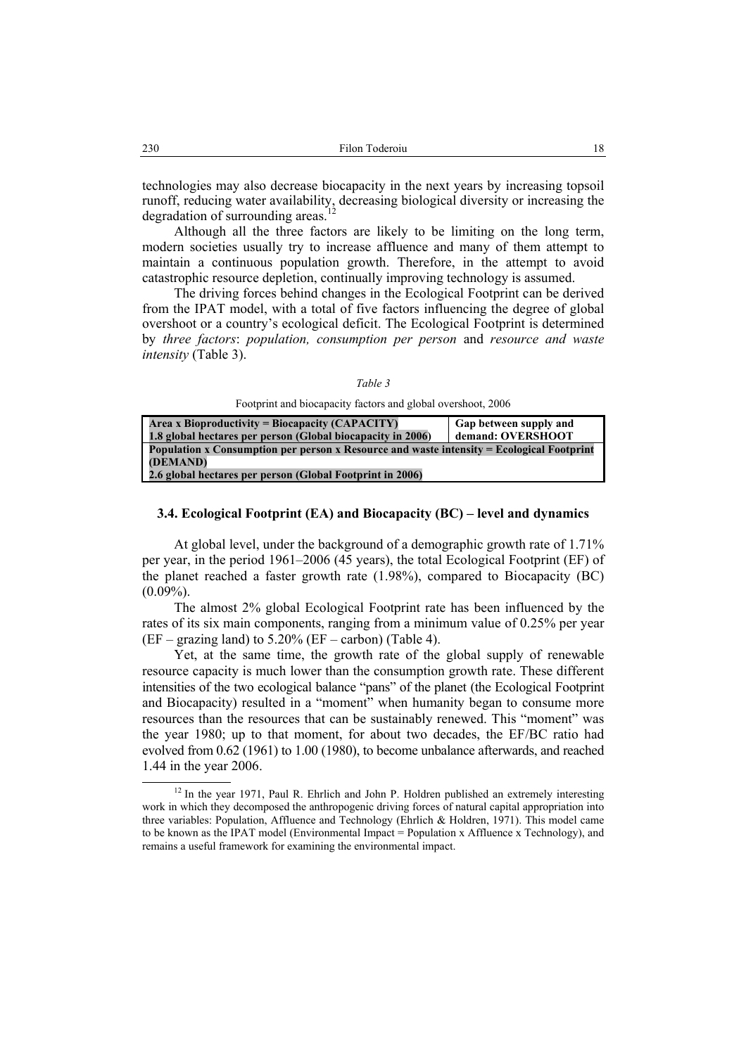technologies may also decrease biocapacity in the next years by increasing topsoil runoff, reducing water availability, decreasing biological diversity or increasing the degradation of surrounding areas.

Although all the three factors are likely to be limiting on the long term, modern societies usually try to increase affluence and many of them attempt to maintain a continuous population growth. Therefore, in the attempt to avoid catastrophic resource depletion, continually improving technology is assumed.

The driving forces behind changes in the Ecological Footprint can be derived from the IPAT model, with a total of five factors influencing the degree of global overshoot or a country's ecological deficit. The Ecological Footprint is determined by *three factors*: *population, consumption per person* and *resource and waste intensity* (Table 3).

Footprint and biocapacity factors and global overshoot, 2006

| Area x Bioproductivity = Biocapacity (CAPACITY)                                                  | Gap between supply and |  |  |  |  |  |
|--------------------------------------------------------------------------------------------------|------------------------|--|--|--|--|--|
| 1.8 global hectares per person (Global biocapacity in 2006)                                      | demand: OVERSHOOT      |  |  |  |  |  |
| <b>Population x Consumption per person x Resource and waste intensity = Ecological Footprint</b> |                        |  |  |  |  |  |
| (DEMAND)                                                                                         |                        |  |  |  |  |  |
| 2.6 global hectares per person (Global Footprint in 2006)                                        |                        |  |  |  |  |  |

## **3.4. Ecological Footprint (EA) and Biocapacity (BC) – level and dynamics**

At global level, under the background of a demographic growth rate of 1.71% per year, in the period 1961–2006 (45 years), the total Ecological Footprint (EF) of the planet reached a faster growth rate (1.98%), compared to Biocapacity (BC)  $(0.09\%)$ .

The almost 2% global Ecological Footprint rate has been influenced by the rates of its six main components, ranging from a minimum value of 0.25% per year  $(EF - \text{grazing land})$  to 5.20%  $(EF - \text{carbon})$  (Table 4).

Yet, at the same time, the growth rate of the global supply of renewable resource capacity is much lower than the consumption growth rate. These different intensities of the two ecological balance "pans" of the planet (the Ecological Footprint and Biocapacity) resulted in a "moment" when humanity began to consume more resources than the resources that can be sustainably renewed. This "moment" was the year 1980; up to that moment, for about two decades, the EF/BC ratio had evolved from 0.62 (1961) to 1.00 (1980), to become unbalance afterwards, and reached 1.44 in the year 2006.

<sup>&</sup>lt;sup>12</sup> In the year 1971, Paul R. Ehrlich and John P. Holdren published an extremely interesting work in which they decomposed the anthropogenic driving forces of natural capital appropriation into three variables: Population, Affluence and Technology (Ehrlich & Holdren, 1971). This model came to be known as the IPAT model (Environmental Impact = Population x Affluence x Technology), and remains a useful framework for examining the environmental impact.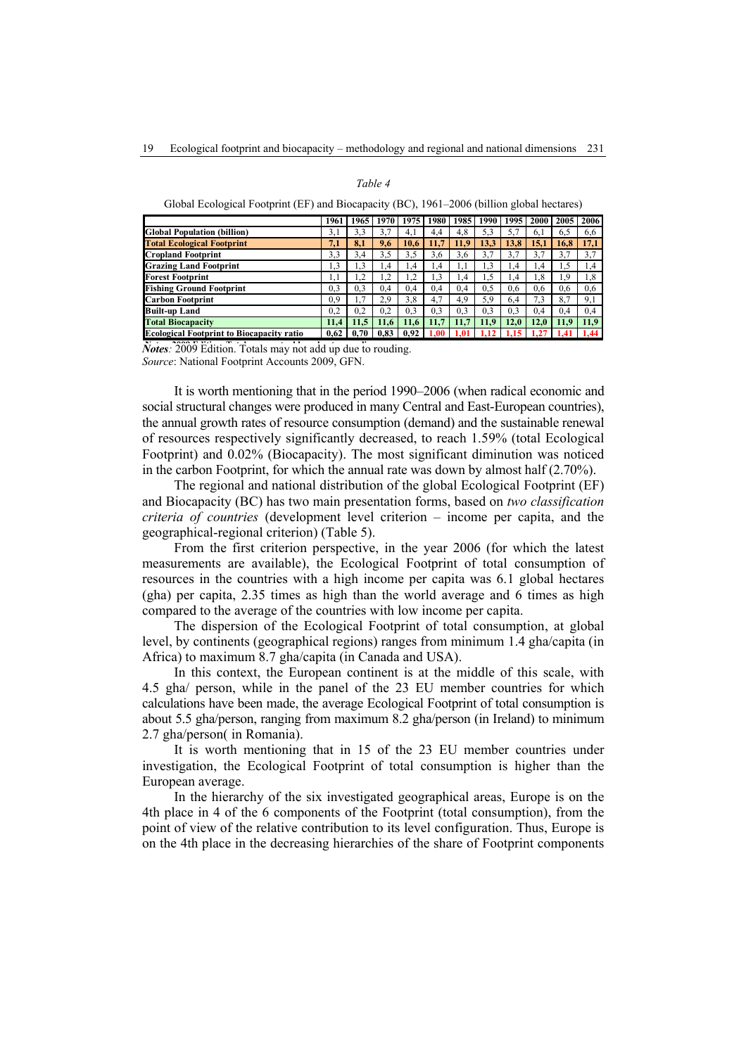### *Table 4*

| Global Ecological Footprint (EF) and Biocapacity (BC), 1961-2006 (billion global hectares) |  |
|--------------------------------------------------------------------------------------------|--|
|--------------------------------------------------------------------------------------------|--|

|                                                  | 1961      | 1965            | 1970 l | 1975    | 1980      | 1985 | 1990      | 1995        | 2000 | 2005 | 2006 |
|--------------------------------------------------|-----------|-----------------|--------|---------|-----------|------|-----------|-------------|------|------|------|
| <b>Global Population (billion)</b>               | 3,1       | 3,3             | 3,7    | 4,1     | 4.4       | 4,8  | 5,3       | 5.7         | 6,1  | 6,5  | 6,6  |
| <b>Total Ecological Footprint</b>                | 7.1       | 8,1             | 9,6    | 10.6    | 11.7      | 11.9 | 13,3      | 13.8        | 15.1 | 16.8 | 17,1 |
| <b>Cropland Footprint</b>                        | 3.3       | 3.4             | 3,5    | 3,5     | 3.6       | 3,6  | 3,7       | 3,7         | 3,7  | 3,7  | 3,7  |
| <b>Grazing Land Footprint</b>                    | $\cdot$ 3 | $\overline{.}3$ | 1.4    | 1,4     | 1.4       | 1,1  | $\cdot$ 3 | 1,4         | 1.4  | 1,5  | 1,4  |
| <b>Forest Footprint</b>                          |           |                 |        | $\cdot$ | $\cdot$ 3 | 1.4  | . 5       | 1,4         | 1,8  | 1,9  | 1,8  |
| <b>Fishing Ground Footprint</b>                  | 0.3       | 0.3             | 0.4    | 0.4     | 0.4       | 0.4  | 0,5       | 0.6         | 0.6  | 0,6  | 0.6  |
| <b>Carbon Footprint</b>                          | 0.9       |                 | 2.9    | 3,8     | 4.7       | 4,9  | 5,9       | 6,4         | 7.3  | 8,7  | 9,1  |
| <b>Built-up Land</b>                             | 0,2       | 0.2             | 0.2    | 0,3     | 0.3       | 0,3  | 0.3       | 0,3         | 0.4  | 0,4  | 0,4  |
| <b>Total Biocapacity</b>                         | 11.4      | 11.5            | 11.6   | 11.6    | 11.7      | 11.7 | 11.9      | <b>12.0</b> | 12.0 | 11.9 | 11.9 |
| <b>Ecological Footprint to Biocapacity ratio</b> | 0.62      | 0.70            | 0.83   | 0.92    | 1.00      |      |           |             |      | 1.41 | 1.44 |

*Notes*: 2009 Edition. Totals may not add up due to rouding.

*Source*: National Footprint Accounts 2009, GFN.

It is worth mentioning that in the period 1990–2006 (when radical economic and social structural changes were produced in many Central and East-European countries), the annual growth rates of resource consumption (demand) and the sustainable renewal of resources respectively significantly decreased, to reach 1.59% (total Ecological Footprint) and 0.02% (Biocapacity). The most significant diminution was noticed in the carbon Footprint, for which the annual rate was down by almost half (2.70%).

The regional and national distribution of the global Ecological Footprint (EF) and Biocapacity (BC) has two main presentation forms, based on *two classification criteria of countries* (development level criterion – income per capita, and the geographical-regional criterion) (Table 5).

From the first criterion perspective, in the year 2006 (for which the latest measurements are available), the Ecological Footprint of total consumption of resources in the countries with a high income per capita was 6.1 global hectares (gha) per capita, 2.35 times as high than the world average and 6 times as high compared to the average of the countries with low income per capita.

The dispersion of the Ecological Footprint of total consumption, at global level, by continents (geographical regions) ranges from minimum 1.4 gha/capita (in Africa) to maximum 8.7 gha/capita (in Canada and USA).

In this context, the European continent is at the middle of this scale, with 4.5 gha/ person, while in the panel of the 23 EU member countries for which calculations have been made, the average Ecological Footprint of total consumption is about 5.5 gha/person, ranging from maximum 8.2 gha/person (in Ireland) to minimum 2.7 gha/person( in Romania).

It is worth mentioning that in 15 of the 23 EU member countries under investigation, the Ecological Footprint of total consumption is higher than the European average.

In the hierarchy of the six investigated geographical areas, Europe is on the 4th place in 4 of the 6 components of the Footprint (total consumption), from the point of view of the relative contribution to its level configuration. Thus, Europe is on the 4th place in the decreasing hierarchies of the share of Footprint components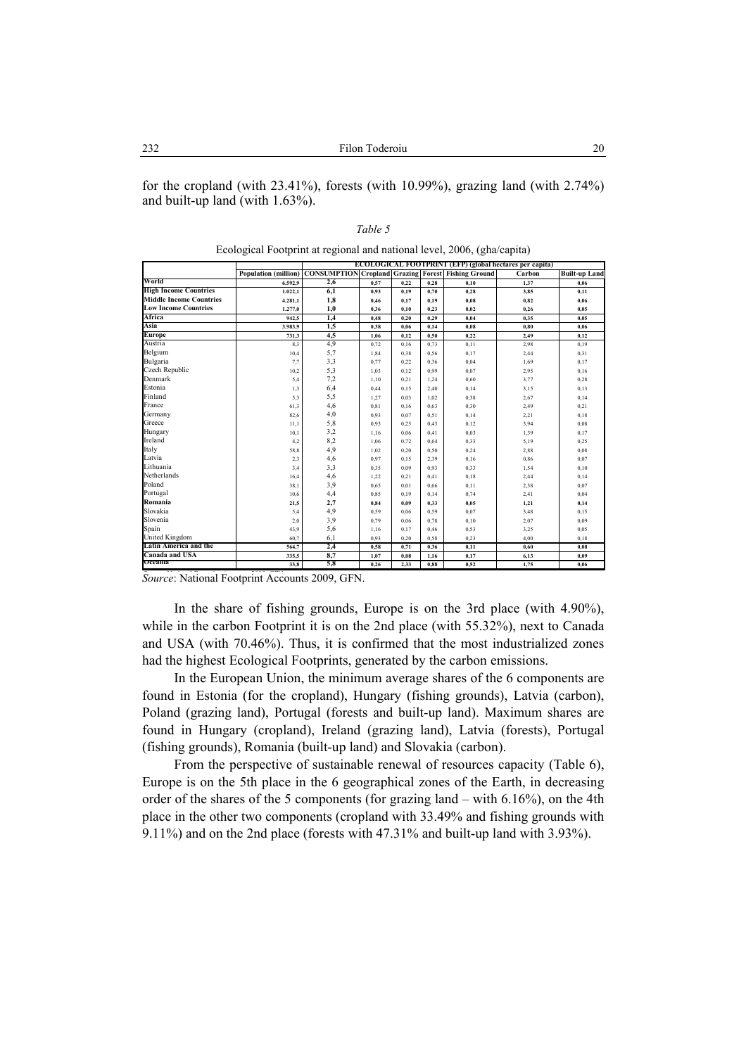for the cropland (with 23.41%), forests (with 10.99%), grazing land (with 2.74%) and built-up land (with 1.63%).

|--|

Ecological Footprint at regional and national level, 2006, (gha/capita)

|                                | ECOLOGICAL FOOTPRINT (EFP) (global hectares per capita) |                                                           |      |      |      |      |        |                      |  |
|--------------------------------|---------------------------------------------------------|-----------------------------------------------------------|------|------|------|------|--------|----------------------|--|
|                                | <b>Population</b> (million)                             | <b>CONSUMPTION Cropland Grazing Forest Fishing Ground</b> |      |      |      |      | Carbon | <b>Built-up Land</b> |  |
| World                          | 6.592.9                                                 | 2,6                                                       | 0,57 | 0.22 | 0.28 | 0.10 | 1,37   | 0.06                 |  |
| <b>High Income Countries</b>   | 1.022.1                                                 | 6,1                                                       | 0.93 | 0,19 | 0.70 | 0.28 | 3.85   | 0.11                 |  |
| <b>Middle Income Countries</b> | 4.281,1                                                 | 1,8                                                       | 0,46 | 0,17 | 0,19 | 0.08 | 0.82   | 0,06                 |  |
| <b>Low Income Countries</b>    | 1.277,0                                                 | 1,0                                                       | 0.36 | 0.10 | 0,23 | 0,02 | 0.26   | 0,05                 |  |
| Africa                         | 942.5                                                   | 1,4                                                       | 0.48 | 0.20 | 0.29 | 0.04 | 0.35   | 0.05                 |  |
| Asia                           | 3.983,9                                                 | 1,5                                                       | 0.38 | 0.06 | 0.14 | 0.08 | 0.80   | 0.06                 |  |
| Europe                         | 731,3                                                   | 4,5                                                       | 1,06 | 0,12 | 0,50 | 0.22 | 2,49   | 0,12                 |  |
| Austria                        | 8,3                                                     | 4,9                                                       | 0,72 | 0,16 | 0,73 | 0,11 | 2.98   | 0,19                 |  |
| Belgium                        | 10,4                                                    | 5,7                                                       | 1,84 | 0.38 | 0.56 | 0,17 | 2,44   | 0,31                 |  |
| Bulgaria                       | 7,7                                                     | 3,3                                                       | 0,77 | 0,22 | 0,36 | 0,04 | 1,69   | 0,17                 |  |
| Czech Republic                 | 10,2                                                    | 5,3                                                       | 1.03 | 0.12 | 0,99 | 0,07 | 2.95   | 0,16                 |  |
| Denmark                        | 5,4                                                     | 7,2                                                       | 1,10 | 0,21 | 1,24 | 0,60 | 3,77   | 0,28                 |  |
| Estonia                        | 1,3                                                     | 6,4                                                       | 0,44 | 0,15 | 2,40 | 0,14 | 3,15   | 0,13                 |  |
| Finland                        | 5,3                                                     | 5,5                                                       | 1,27 | 0,03 | 1,02 | 0,38 | 2,67   | 0,14                 |  |
| France                         | 61,3                                                    | 4,6                                                       | 0,81 | 0.16 | 0,63 | 0,30 | 2,49   | 0,21                 |  |
| Germany                        | 82,6                                                    | 4,0                                                       | 0.93 | 0,07 | 0,51 | 0,14 | 2,21   | 0,18                 |  |
| Greece                         | 11,1                                                    | 5,8                                                       | 0.93 | 0,25 | 0,43 | 0,12 | 3.94   | 0,08                 |  |
| Hungary                        | 10,1                                                    | 3,2                                                       | 1,16 | 0.06 | 0,41 | 0,03 | 1,39   | 0,17                 |  |
| Ireland                        | 4,2                                                     | 8,2                                                       | 1,06 | 0.72 | 0.64 | 0,33 | 5,19   | 0,25                 |  |
| Italy                          | 58,8                                                    | 4,9                                                       | 1,02 | 0,20 | 0,50 | 0,24 | 2,88   | 0,08                 |  |
| Latvia                         | 2,3                                                     | 4,6                                                       | 0.97 | 0,15 | 2,39 | 0,16 | 0,86   | 0,07                 |  |
| Lithuania                      | 3,4                                                     | 3,3                                                       | 0.35 | 0.09 | 0.93 | 0,33 | 1,54   | 0,10                 |  |
| Netherlands                    | 16,4                                                    | 4,6                                                       | 1,22 | 0,21 | 0,41 | 0,18 | 2,44   | 0,14                 |  |
| Poland                         | 38,1                                                    | 3,9                                                       | 0.65 | 0,01 | 0,66 | 0,11 | 2,38   | 0,07                 |  |
| Portugal                       | 10,6                                                    | 4,4                                                       | 0,85 | 0.19 | 0.14 | 0,74 | 2,41   | 0,04                 |  |
| Romania                        | 21,5                                                    | 2,7                                                       | 0,84 | 0.09 | 0,33 | 0.05 | 1.21   | 0,14                 |  |
| Slovakia                       | 5,4                                                     | 4,9                                                       | 0.59 | 0,06 | 0,59 | 0,07 | 3,48   | 0,15                 |  |
| Slovenia                       | 2,0                                                     | 3,9                                                       | 0,79 | 0.06 | 0,78 | 0,10 | 2,07   | 0,09                 |  |
| Spain                          | 43,9                                                    | 5,6                                                       | 1,16 | 0,17 | 0,46 | 0,53 | 3.25   | 0,05                 |  |
| United Kingdom                 | 60,7                                                    | 6,1                                                       | 0.93 | 0,20 | 0,58 | 0,23 | 4,00   | 0,18                 |  |
| Latin America and the          | 564.7                                                   | 2,4                                                       | 0.58 | 0,71 | 0,36 | 0.11 | 0.60   | 0.08                 |  |
| Canada and USA                 | 335,5                                                   | 8,7                                                       | 1,07 | 0.08 | 1.16 | 0,17 | 6,13   | 0,09                 |  |
| Oceania                        | 33.8                                                    | 5,8                                                       | 0.26 | 2.33 | 0.88 | 0.52 | 1,75   | 0.06                 |  |

Source: National Footprint Accounts 2009, GFN.

In the share of fishing grounds, Europe is on the 3rd place (with 4.90%), while in the carbon Footprint it is on the 2nd place (with 55.32%), next to Canada and USA (with 70.46%). Thus, it is confirmed that the most industrialized zones had the highest Ecological Footprints, generated by the carbon emissions.

In the European Union, the minimum average shares of the 6 components are found in Estonia (for the cropland), Hungary (fishing grounds), Latvia (carbon), Poland (grazing land), Portugal (forests and built-up land). Maximum shares are found in Hungary (cropland), Ireland (grazing land), Latvia (forests), Portugal (fishing grounds), Romania (built-up land) and Slovakia (carbon).

From the perspective of sustainable renewal of resources capacity (Table 6), Europe is on the 5th place in the 6 geographical zones of the Earth, in decreasing order of the shares of the 5 components (for grazing land – with 6.16%), on the 4th place in the other two components (cropland with 33.49% and fishing grounds with 9.11%) and on the 2nd place (forests with 47.31% and built-up land with 3.93%).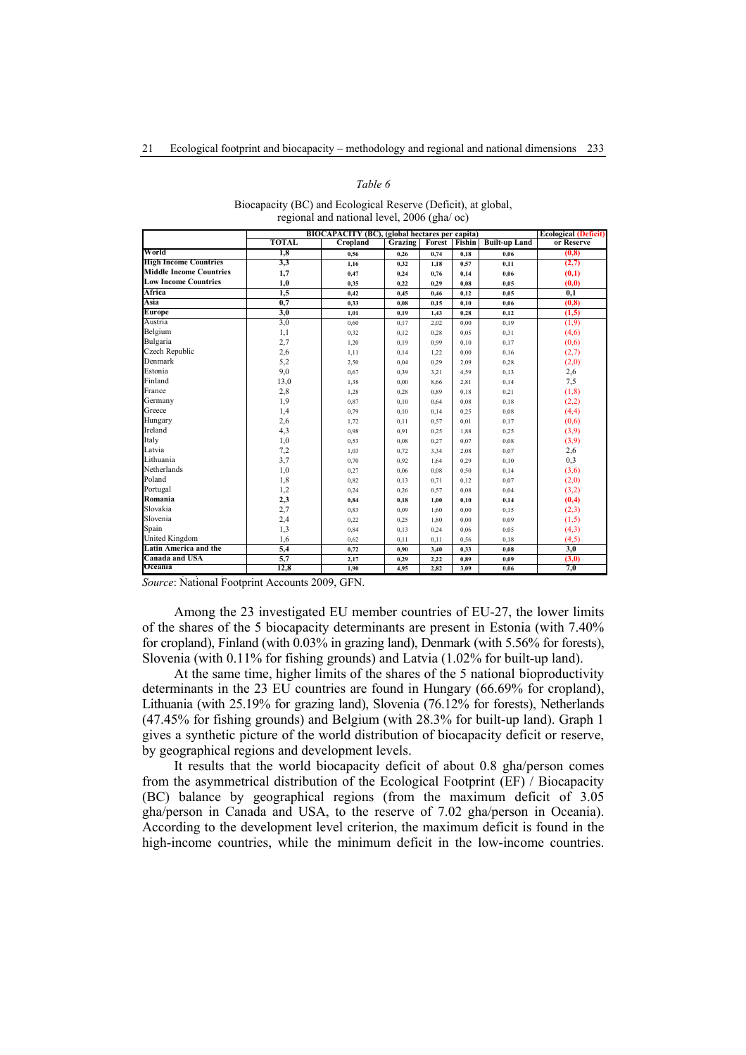## *Table 6*

| Biocapacity (BC) and Ecological Reserve (Deficit), at global, |
|---------------------------------------------------------------|
| regional and national level, 2006 (gha/ oc)                   |

|                                | BIOCAPACITY (BC), (global hectares per capita) |          |                |                      |      | <b>Ecological (Deficit)</b> |            |
|--------------------------------|------------------------------------------------|----------|----------------|----------------------|------|-----------------------------|------------|
|                                | <b>TOTAL</b>                                   | Cropland | <b>Grazing</b> | <b>Forest</b> Fishin |      | <b>Built-up Land</b>        | or Reserve |
| World                          | 1,8                                            | 0.56     | 0.26           | 0.74                 | 0.18 | 0.06                        | (0, 8)     |
| <b>High Income Countries</b>   | 3,3                                            | 1,16     | 0,32           | 1,18                 | 0,57 | 0,11                        | (2,7)      |
| <b>Middle Income Countries</b> | 1,7                                            | 0,47     | 0,24           | 0,76                 | 0,14 | 0,06                        | (0,1)      |
| <b>Low Income Countries</b>    | 1,0                                            | 0,35     | 0,22           | 0.29                 | 0,08 | 0,05                        | (0,0)      |
| Africa                         | 1,5                                            | 0,42     | 0,45           | 0,46                 | 0,12 | 0,05                        | 0,1        |
| Asia                           | 0,7                                            | 0,33     | 0,08           | 0,15                 | 0,10 | 0,06                        | (0, 8)     |
| Europe                         | 3,0                                            | 1,01     | 0,19           | 1,43                 | 0,28 | 0,12                        | (1,5)      |
| Austria                        | 3,0                                            | 0,60     | 0,17           | 2,02                 | 0.00 | 0,19                        | (1,9)      |
| Belgium                        | 1,1                                            | 0,32     | 0,12           | 0,28                 | 0,05 | 0,31                        | (4,6)      |
| Bulgaria                       | 2,7                                            | 1,20     | 0,19           | 0,99                 | 0,10 | 0,17                        | (0,6)      |
| Czech Republic                 | 2,6                                            | 1,11     | 0,14           | 1,22                 | 0,00 | 0,16                        | (2,7)      |
| Denmark                        | 5,2                                            | 2,50     | 0,04           | 0,29                 | 2,09 | 0,28                        | (2,0)      |
| Estonia                        | 9,0                                            | 0,67     | 0,39           | 3,21                 | 4,59 | 0,13                        | 2,6        |
| Finland                        | 13,0                                           | 1,38     | 0,00           | 8,66                 | 2,81 | 0,14                        | 7,5        |
| France                         | 2,8                                            | 1,28     | 0,28           | 0,89                 | 0,18 | 0,21                        | (1, 8)     |
| Germany                        | 1,9                                            | 0,87     | 0,10           | 0,64                 | 0,08 | 0,18                        | (2,2)      |
| Greece                         | 1,4                                            | 0,79     | 0,10           | 0,14                 | 0,25 | 0,08                        | (4,4)      |
| Hungary                        | 2,6                                            | 1,72     | 0,11           | 0,57                 | 0,01 | 0,17                        | (0,6)      |
| Ireland                        | 4,3                                            | 0,98     | 0,91           | 0.25                 | 1,88 | 0,25                        | (3,9)      |
| Italy                          | 1,0                                            | 0,53     | 0,08           | 0,27                 | 0,07 | 0,08                        | (3,9)      |
| Latvia                         | 7,2                                            | 1,03     | 0,72           | 3,34                 | 2,08 | 0,07                        | 2,6        |
| Lithuania                      | 3,7                                            | 0,70     | 0,92           | 1,64                 | 0,29 | 0,10                        | 0,3        |
| Netherlands                    | 1,0                                            | 0,27     | 0,06           | 0.08                 | 0,50 | 0,14                        | (3,6)      |
| Poland                         | 1,8                                            | 0,82     | 0,13           | 0,71                 | 0,12 | 0,07                        | (2,0)      |
| Portugal                       | 1,2                                            | 0,24     | 0,26           | 0,57                 | 0,08 | 0,04                        | (3,2)      |
| Romania                        | 2,3                                            | 0,84     | 0,18           | 1,00                 | 0,10 | 0,14                        | (0,4)      |
| Slovakia                       | 2,7                                            | 0,83     | 0,09           | 1,60                 | 0,00 | 0,15                        | (2,3)      |
| Slovenia                       | 2,4                                            | 0,22     | 0,25           | 1,80                 | 0,00 | 0,09                        | (1,5)      |
| Spain                          | 1,3                                            | 0,84     | 0,13           | 0,24                 | 0,06 | 0,05                        | (4,3)      |
| <b>United Kingdom</b>          | 1,6                                            | 0,62     | 0,11           | 0,11                 | 0,56 | 0,18                        | (4,5)      |
| Latin America and the          | 5,4                                            | 0,72     | 0,90           | 3,40                 | 0,33 | 0,08                        | 3,0        |
| Canada and USA                 | 5,7                                            | 2,17     | 0,29           | 2,22                 | 0,89 | 0,09                        | (3,0)      |
| Oceania                        | 12.8                                           | 1,90     | 4,95           | 2,82                 | 3.09 | 0,06                        | 7.0        |

Source: National Footprint Accounts 2009, GFN.

Among the 23 investigated EU member countries of EU-27, the lower limits of the shares of the 5 biocapacity determinants are present in Estonia (with 7.40% for cropland), Finland (with 0.03% in grazing land), Denmark (with 5.56% for forests), Slovenia (with 0.11% for fishing grounds) and Latvia (1.02% for built-up land).

At the same time, higher limits of the shares of the 5 national bioproductivity determinants in the 23 EU countries are found in Hungary (66.69% for cropland), Lithuania (with 25.19% for grazing land), Slovenia (76.12% for forests), Netherlands (47.45% for fishing grounds) and Belgium (with 28.3% for built-up land). Graph 1 gives a synthetic picture of the world distribution of biocapacity deficit or reserve, by geographical regions and development levels.

It results that the world biocapacity deficit of about 0.8 gha/person comes from the asymmetrical distribution of the Ecological Footprint (EF) / Biocapacity (BC) balance by geographical regions (from the maximum deficit of 3.05 gha/person in Canada and USA, to the reserve of 7.02 gha/person in Oceania). According to the development level criterion, the maximum deficit is found in the high-income countries, while the minimum deficit in the low-income countries.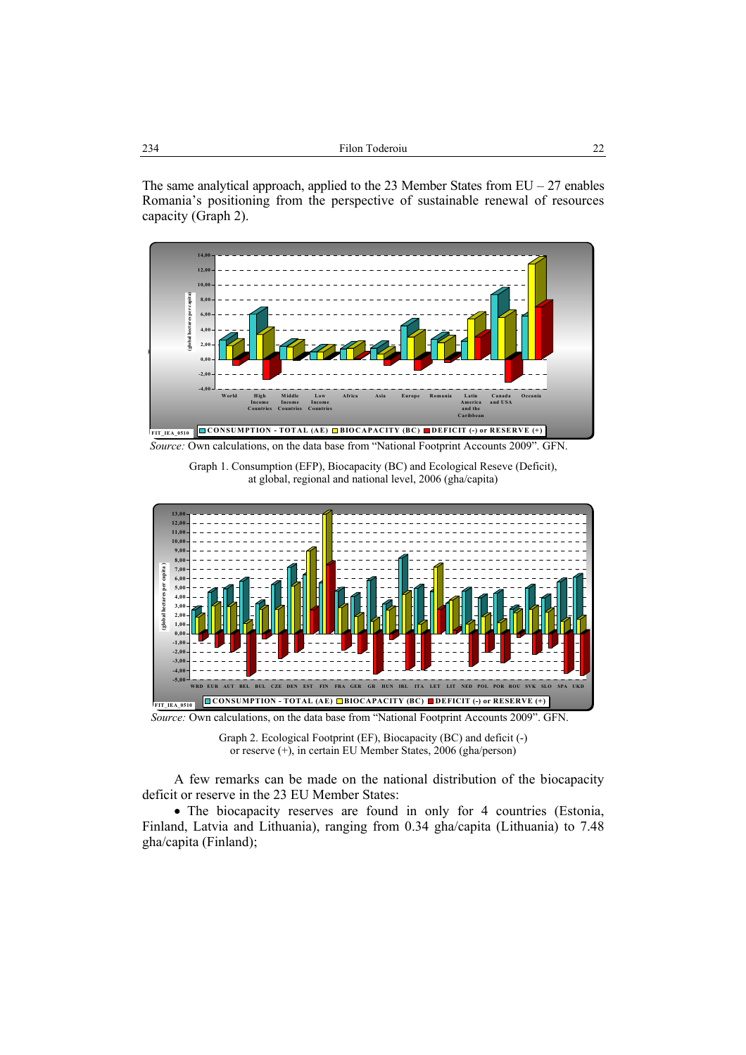| 234<br>Filon Toderoiu |
|-----------------------|
|-----------------------|

The same analytical approach, applied to the 23 Member States from  $EU - 27$  enables Romania's positioning from the perspective of sustainable renewal of resources capacity (Graph 2).



*Source:* Own calculations, on the data base from "National Footprint Accounts 2009". GFN.

Graph 1. Consumption (EFP), Biocapacity (BC) and Ecological Reseve (Deficit), at global, regional and national level, 2006 (gha/capita)



*Source:* Own calculations, on the data base from "National Footprint Accounts 2009". GFN.

Graph 2. Ecological Footprint (EF), Biocapacity (BC) and deficit (-) or reserve (+), in certain EU Member States, 2006 (gha/person)

A few remarks can be made on the national distribution of the biocapacity deficit or reserve in the 23 EU Member States:

• The biocapacity reserves are found in only for 4 countries (Estonia, Finland, Latvia and Lithuania), ranging from 0.34 gha/capita (Lithuania) to 7.48 gha/capita (Finland);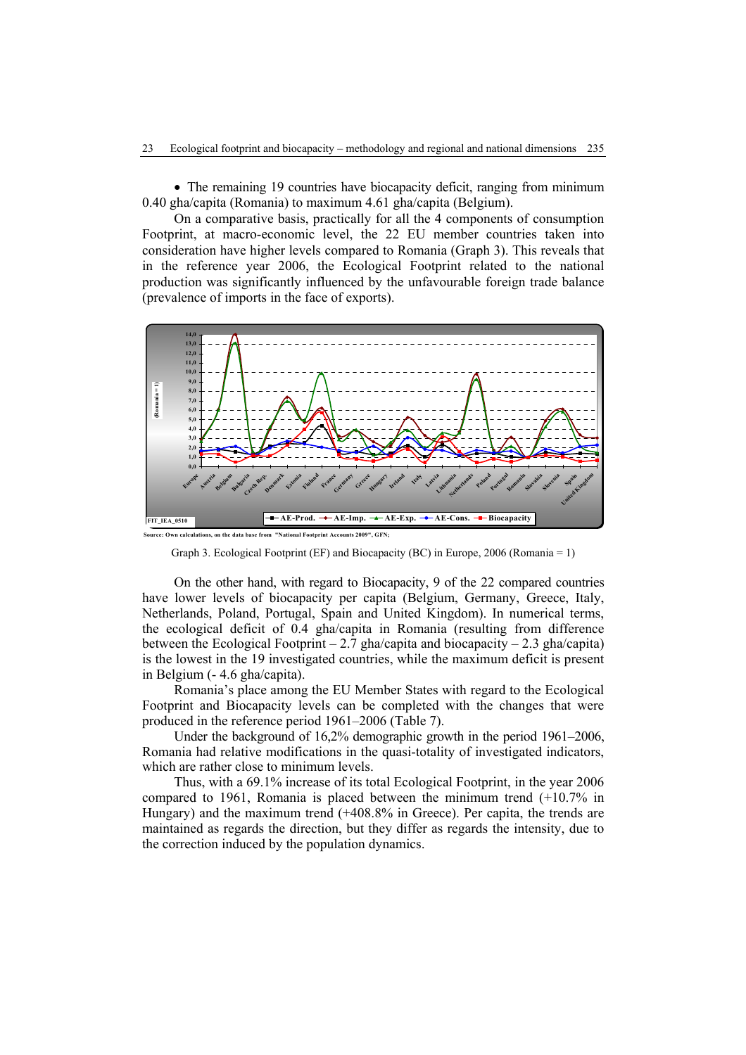• The remaining 19 countries have biocapacity deficit, ranging from minimum 0.40 gha/capita (Romania) to maximum 4.61 gha/capita (Belgium).

On a comparative basis, practically for all the 4 components of consumption Footprint, at macro-economic level, the 22 EU member countries taken into consideration have higher levels compared to Romania (Graph 3). This reveals that in the reference year 2006, the Ecological Footprint related to the national production was significantly influenced by the unfavourable foreign trade balance (prevalence of imports in the face of exports).



Graph 3. Ecological Footprint (EF) and Biocapacity (BC) in Europe, 2006 (Romania = 1)

On the other hand, with regard to Biocapacity, 9 of the 22 compared countries have lower levels of biocapacity per capita (Belgium, Germany, Greece, Italy, Netherlands, Poland, Portugal, Spain and United Kingdom). In numerical terms, the ecological deficit of 0.4 gha/capita in Romania (resulting from difference between the Ecological Footprint  $-2.7$  gha/capita and biocapacity  $-2.3$  gha/capita) is the lowest in the 19 investigated countries, while the maximum deficit is present in Belgium (- 4.6 gha/capita).

Romania's place among the EU Member States with regard to the Ecological Footprint and Biocapacity levels can be completed with the changes that were produced in the reference period 1961–2006 (Table 7).

Under the background of 16,2% demographic growth in the period 1961–2006, Romania had relative modifications in the quasi-totality of investigated indicators, which are rather close to minimum levels.

Thus, with a 69.1% increase of its total Ecological Footprint, in the year 2006 compared to 1961, Romania is placed between the minimum trend (+10.7% in Hungary) and the maximum trend (+408.8% in Greece). Per capita, the trends are maintained as regards the direction, but they differ as regards the intensity, due to the correction induced by the population dynamics.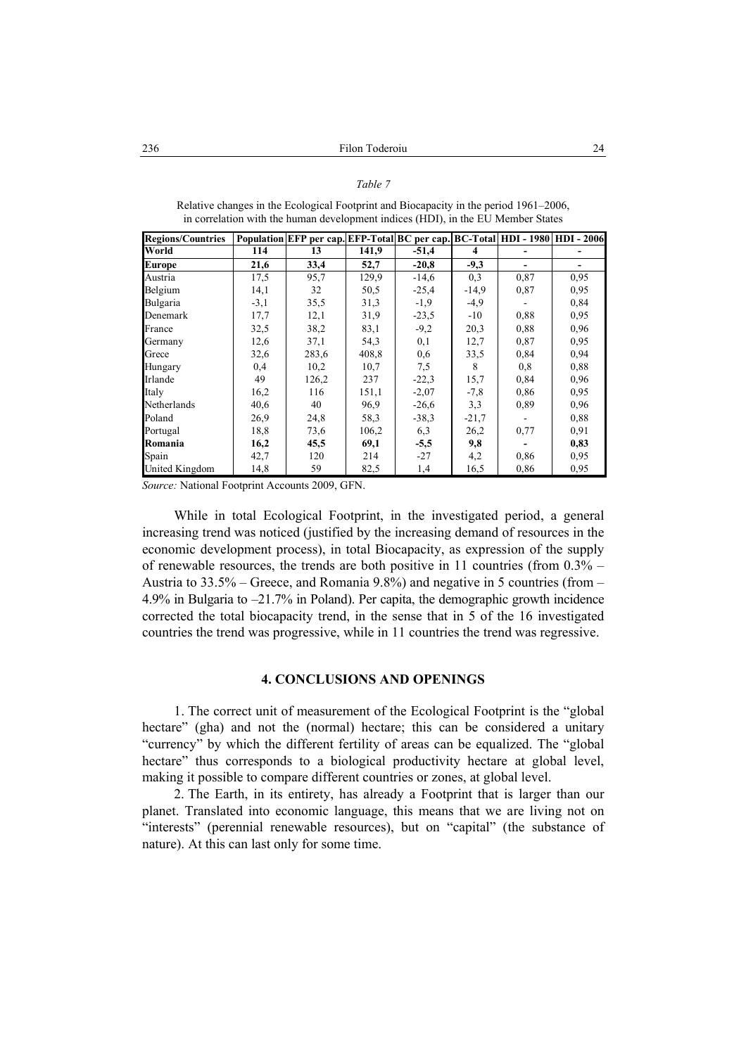#### *Table 7*

| <b>Regions/Countries</b> |        | Population EFP per cap. EFP-Total BC per cap. BC-Total HDI - 1980 HDI - 2006 |       |         |         |      |      |
|--------------------------|--------|------------------------------------------------------------------------------|-------|---------|---------|------|------|
| World                    | 114    | 13                                                                           | 141.9 | $-51,4$ | 4       |      |      |
| <b>Europe</b>            | 21,6   | 33,4                                                                         | 52,7  | $-20.8$ | $-9,3$  |      |      |
| Austria                  | 17,5   | 95,7                                                                         | 129,9 | $-14,6$ | 0,3     | 0,87 | 0,95 |
| Belgium                  | 14,1   | 32                                                                           | 50,5  | $-25,4$ | $-14,9$ | 0,87 | 0,95 |
| Bulgaria                 | $-3,1$ | 35,5                                                                         | 31,3  | $-1,9$  | $-4,9$  |      | 0,84 |
| Denemark                 | 17,7   | 12,1                                                                         | 31,9  | $-23,5$ | $-10$   | 0,88 | 0,95 |
| France                   | 32,5   | 38,2                                                                         | 83,1  | $-9,2$  | 20,3    | 0.88 | 0,96 |
| Germany                  | 12,6   | 37,1                                                                         | 54,3  | 0,1     | 12,7    | 0,87 | 0,95 |
| Grece                    | 32,6   | 283,6                                                                        | 408,8 | 0,6     | 33,5    | 0,84 | 0.94 |
| Hungary                  | 0,4    | 10,2                                                                         | 10,7  | 7,5     | 8       | 0,8  | 0,88 |
| Irlande                  | 49     | 126,2                                                                        | 237   | $-22,3$ | 15,7    | 0,84 | 0,96 |
| Italy                    | 16,2   | 116                                                                          | 151,1 | $-2,07$ | $-7,8$  | 0.86 | 0.95 |
| Netherlands              | 40,6   | 40                                                                           | 96,9  | $-26,6$ | 3,3     | 0.89 | 0,96 |
| Poland                   | 26,9   | 24,8                                                                         | 58,3  | $-38,3$ | $-21,7$ |      | 0,88 |
| Portugal                 | 18,8   | 73,6                                                                         | 106,2 | 6,3     | 26,2    | 0,77 | 0,91 |
| Romania                  | 16,2   | 45,5                                                                         | 69,1  | $-5,5$  | 9,8     |      | 0,83 |
| Spain                    | 42,7   | 120                                                                          | 214   | $-27$   | 4,2     | 0.86 | 0.95 |
| United Kingdom           | 14,8   | 59                                                                           | 82,5  | 1,4     | 16,5    | 0,86 | 0,95 |

Relative changes in the Ecological Footprint and Biocapacity in the period 1961–2006, in correlation with the human development indices (HDI), in the EU Member States

*Source:* National Footprint Accounts 2009, GFN.

While in total Ecological Footprint, in the investigated period, a general increasing trend was noticed (justified by the increasing demand of resources in the economic development process), in total Biocapacity, as expression of the supply of renewable resources, the trends are both positive in 11 countries (from  $0.3\%$  – Austria to 33.5% – Greece, and Romania 9.8%) and negative in 5 countries (from – 4.9% in Bulgaria to –21.7% in Poland). Per capita, the demographic growth incidence corrected the total biocapacity trend, in the sense that in 5 of the 16 investigated countries the trend was progressive, while in 11 countries the trend was regressive.

# **4. CONCLUSIONS AND OPENINGS**

1. The correct unit of measurement of the Ecological Footprint is the "global hectare" (gha) and not the (normal) hectare; this can be considered a unitary "currency" by which the different fertility of areas can be equalized. The "global hectare" thus corresponds to a biological productivity hectare at global level, making it possible to compare different countries or zones, at global level.

2. The Earth, in its entirety, has already a Footprint that is larger than our planet. Translated into economic language, this means that we are living not on "interests" (perennial renewable resources), but on "capital" (the substance of nature). At this can last only for some time.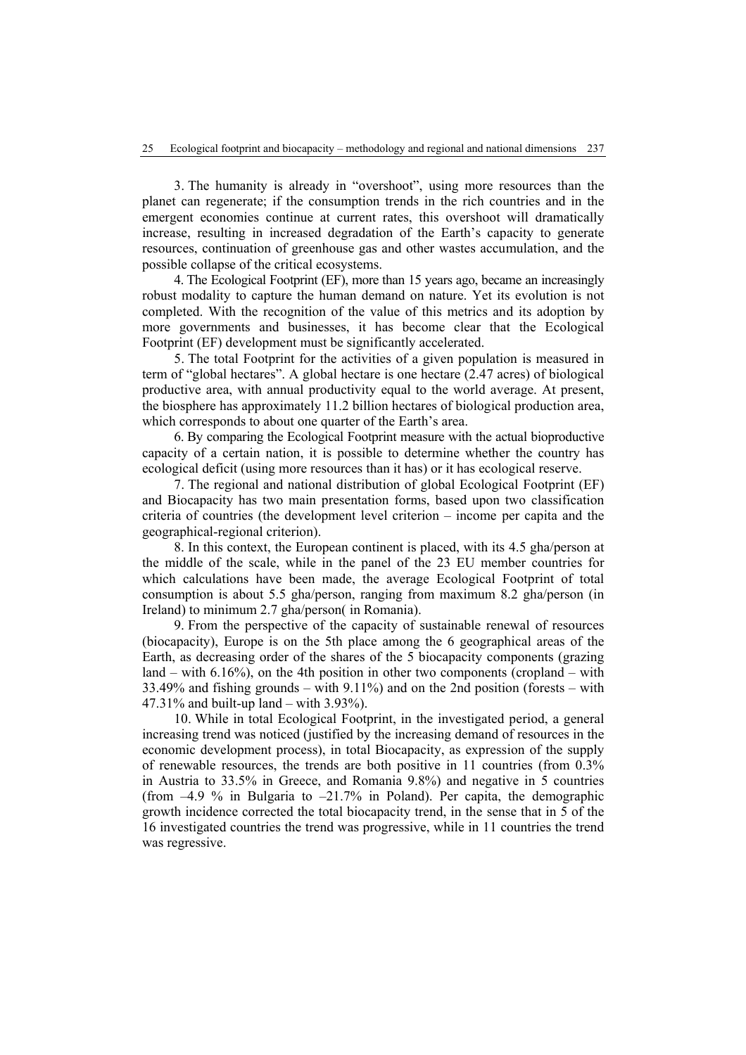3. The humanity is already in "overshoot", using more resources than the planet can regenerate; if the consumption trends in the rich countries and in the emergent economies continue at current rates, this overshoot will dramatically increase, resulting in increased degradation of the Earth's capacity to generate resources, continuation of greenhouse gas and other wastes accumulation, and the possible collapse of the critical ecosystems.

4. The Ecological Footprint (EF), more than 15 years ago, became an increasingly robust modality to capture the human demand on nature. Yet its evolution is not completed. With the recognition of the value of this metrics and its adoption by more governments and businesses, it has become clear that the Ecological Footprint (EF) development must be significantly accelerated.

5. The total Footprint for the activities of a given population is measured in term of "global hectares". A global hectare is one hectare (2.47 acres) of biological productive area, with annual productivity equal to the world average. At present, the biosphere has approximately 11.2 billion hectares of biological production area, which corresponds to about one quarter of the Earth's area.

6. By comparing the Ecological Footprint measure with the actual bioproductive capacity of a certain nation, it is possible to determine whether the country has ecological deficit (using more resources than it has) or it has ecological reserve.

7. The regional and national distribution of global Ecological Footprint (EF) and Biocapacity has two main presentation forms, based upon two classification criteria of countries (the development level criterion – income per capita and the geographical-regional criterion).

8. In this context, the European continent is placed, with its 4.5 gha/person at the middle of the scale, while in the panel of the 23 EU member countries for which calculations have been made, the average Ecological Footprint of total consumption is about 5.5 gha/person, ranging from maximum 8.2 gha/person (in Ireland) to minimum 2.7 gha/person( in Romania).

9. From the perspective of the capacity of sustainable renewal of resources (biocapacity), Europe is on the 5th place among the 6 geographical areas of the Earth, as decreasing order of the shares of the 5 biocapacity components (grazing land – with  $6.16\%$ ), on the 4th position in other two components (cropland – with 33.49% and fishing grounds – with 9.11%) and on the 2nd position (forests – with 47.31% and built-up land – with 3.93%).

10. While in total Ecological Footprint, in the investigated period, a general increasing trend was noticed (justified by the increasing demand of resources in the economic development process), in total Biocapacity, as expression of the supply of renewable resources, the trends are both positive in 11 countries (from 0.3% in Austria to 33.5% in Greece, and Romania 9.8%) and negative in 5 countries (from  $-4.9$  % in Bulgaria to  $-21.7\%$  in Poland). Per capita, the demographic growth incidence corrected the total biocapacity trend, in the sense that in 5 of the 16 investigated countries the trend was progressive, while in 11 countries the trend was regressive.